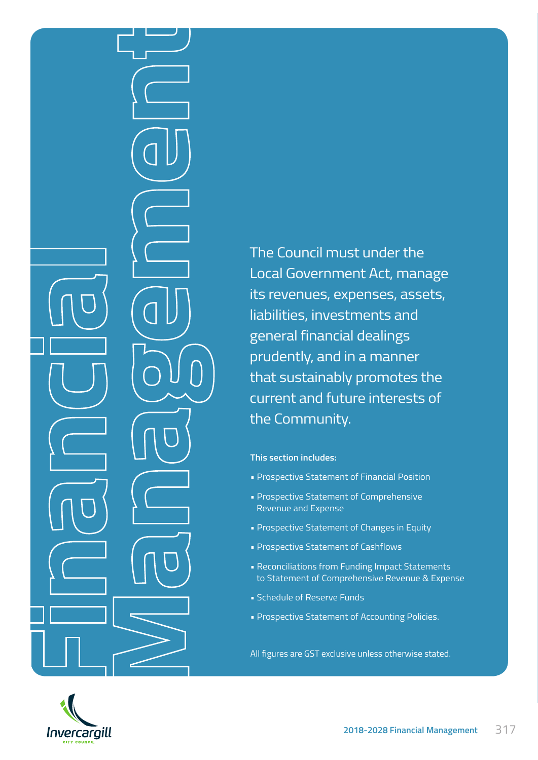The Council must under the Local Government Act, manage its revenues, expenses, assets, liabilities, investments and general financial dealings prudently, and in a manner that sustainably promotes the current and future interests of the Community.

#### **This section includes:**

- Prospective Statement of Financial Position
- Prospective Statement of Comprehensive Revenue and Expense
- Prospective Statement of Changes in Equity
- **Prospective Statement of Cashflows**
- Reconciliations from Funding Impact Statements to Statement of Comprehensive Revenue & Expense
- Schedule of Reserve Funds
- Prospective Statement of Accounting Policies.

All figures are GST exclusive unless otherwise stated.

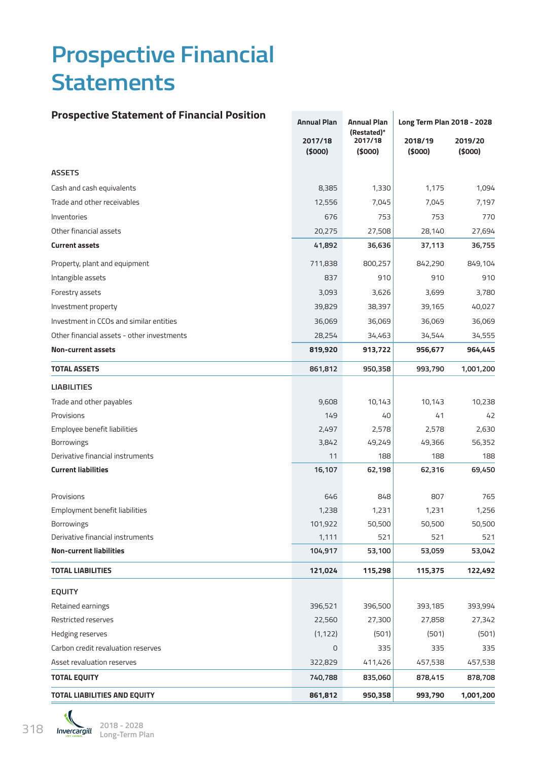# **Prospective Financial Statements**

# **Prospective Statement of Financial Position** *Annual Plan Annual Plan Long Term Plan 2018 - 2028*

|                                            | Annual Plan       | Annual Plan<br>(Restated)* | Long Term Plan 2018 - 2028 |                   |
|--------------------------------------------|-------------------|----------------------------|----------------------------|-------------------|
|                                            | 2017/18<br>(5000) | 2017/18<br>(5000)          | 2018/19<br>(5000)          | 2019/20<br>(5000) |
| <b>ASSETS</b>                              |                   |                            |                            |                   |
| Cash and cash equivalents                  | 8,385             | 1,330                      | 1,175                      | 1,094             |
| Trade and other receivables                | 12,556            | 7,045                      | 7,045                      | 7,197             |
| Inventories                                | 676               | 753                        | 753                        | 770               |
| Other financial assets                     | 20,275            | 27,508                     | 28,140                     | 27,694            |
| <b>Current assets</b>                      | 41,892            | 36,636                     | 37,113                     | 36,755            |
| Property, plant and equipment              | 711,838           | 800,257                    | 842,290                    | 849,104           |
| Intangible assets                          | 837               | 910                        | 910                        | 910               |
| Forestry assets                            | 3,093             | 3,626                      | 3,699                      | 3,780             |
| Investment property                        | 39,829            | 38,397                     | 39,165                     | 40,027            |
| Investment in CCOs and similar entities    | 36,069            | 36,069                     | 36,069                     | 36,069            |
| Other financial assets - other investments | 28,254            | 34,463                     | 34,544                     | 34,555            |
|                                            |                   |                            |                            |                   |
| <b>Non-current assets</b>                  | 819,920           | 913,722                    | 956,677                    | 964,445           |
| <b>TOTAL ASSETS</b>                        | 861,812           | 950,358                    | 993,790                    | 1,001,200         |
| <b>LIABILITIES</b>                         |                   |                            |                            |                   |
| Trade and other payables                   | 9,608             | 10,143                     | 10,143                     | 10,238            |
| Provisions                                 | 149               | 40                         | 41                         | 42                |
| Employee benefit liabilities               | 2,497             | 2,578                      | 2,578                      | 2,630             |
| Borrowings                                 | 3,842             | 49,249                     | 49,366                     | 56,352            |
| Derivative financial instruments           | 11                | 188                        | 188                        | 188               |
| <b>Current liabilities</b>                 | 16,107            | 62,198                     | 62,316                     | 69,450            |
| Provisions                                 | 646               | 848                        | 807                        | 765               |
| Employment benefit liabilities             | 1,238             | 1,231                      | 1,231                      | 1,256             |
| <b>Borrowings</b>                          | 101,922           | 50,500                     | 50,500                     | 50,500            |
| Derivative financial instruments           | 1,111             | 521                        | 521                        | 521               |
| <b>Non-current liabilities</b>             | 104,917           | 53,100                     | 53,059                     | 53,042            |
| <b>TOTAL LIABILITIES</b>                   | 121,024           | 115,298                    | 115,375                    | 122,492           |
|                                            |                   |                            |                            |                   |
| <b>EQUITY</b>                              |                   |                            |                            |                   |
| Retained earnings                          | 396,521           | 396,500                    | 393,185                    | 393,994           |
| Restricted reserves                        | 22,560            | 27,300                     | 27,858                     | 27,342            |
| Hedging reserves                           | (1, 122)          | (501)                      | (501)                      | (501)             |
| Carbon credit revaluation reserves         | $\mathsf{O}$      | 335                        | 335                        | 335               |
| Asset revaluation reserves                 | 322,829           | 411,426                    | 457,538                    | 457,538           |
| <b>TOTAL EQUITY</b>                        | 740,788           | 835,060                    | 878,415                    | 878,708           |
| <b>TOTAL LIABILITIES AND EQUITY</b>        | 861,812           | 950,358                    | 993,790                    | 1,001,200         |

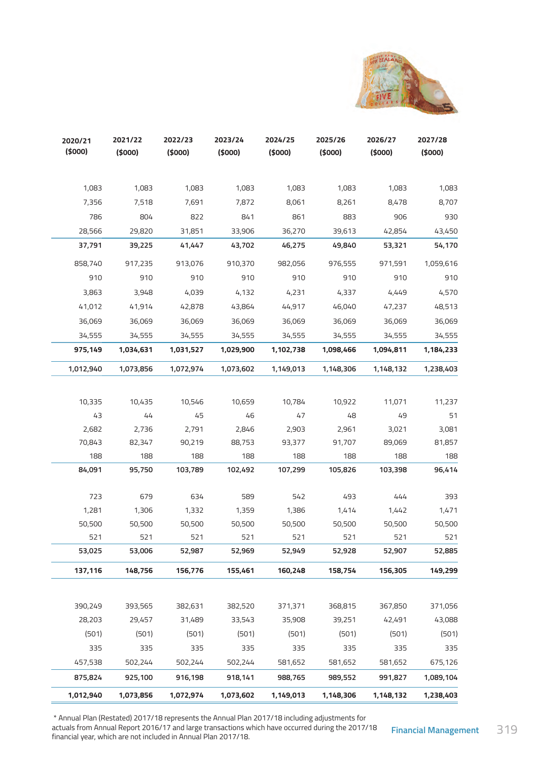

| 1,083<br>1,083<br>1,083<br>1,083<br>1,083<br>1,083<br>8,707<br>7,691<br>7,872<br>8,061<br>8,261<br>8,478<br>822<br>841<br>861<br>883<br>906<br>930<br>43,450<br>31,851<br>33,906<br>36,270<br>39,613<br>42,854<br>43,702<br>46,275<br>49,840<br>54,170<br>41,447<br>53,321<br>913,076<br>910,370<br>982,056<br>976,555<br>971,591<br>1,059,616<br>910<br>910<br>910<br>910<br>910<br>910<br>4,039<br>4,132<br>4,231<br>4,337<br>4,449<br>4,570<br>42,878<br>47,237<br>48,513<br>43,864<br>44,917<br>46,040<br>36,069<br>36,069<br>36,069<br>36,069<br>36,069<br>36,069<br>34,555<br>34,555<br>34,555<br>34,555<br>34,555<br>34,555<br>1,031,527<br>1,029,900<br>1,102,738<br>1,098,466<br>1,094,811<br>1,184,233<br>1,072,974<br>1,073,602<br>1,149,013<br>1,148,306<br>1,148,132<br>1,238,403<br>10,784<br>10,922<br>10,546<br>10,659<br>11,071<br>11,237<br>45<br>46<br>47<br>48<br>49<br>51<br>2,791<br>2,846<br>2,903<br>2,961<br>3,021<br>3,081<br>90,219<br>88,753<br>93,377<br>91,707<br>89,069<br>81,857<br>188<br>188<br>188<br>188<br>188<br>188<br>103,789<br>102,492<br>107,299<br>105,826<br>103,398<br>96,414<br>542<br>493<br>444<br>634<br>589<br>393<br>1,471<br>1,332<br>1,359<br>1,386<br>1,414<br>1,442<br>50,500<br>50,500<br>50,500<br>50,500<br>50,500<br>50,500<br>521<br>521<br>521<br>521<br>521<br>521<br>52,928<br>52,885<br>52,987<br>52,969<br>52,949<br>52,907<br>156,776<br>155,461<br>160,248<br>158,754<br>156,305<br>149,299<br>382,631<br>382,520<br>371,371<br>368,815<br>367,850<br>371,056<br>31,489<br>33,543<br>35,908<br>39,251<br>42,491<br>43,088<br>(501)<br>(501)<br>(501)<br>(501)<br>(501)<br>(501)<br>335<br>335<br>335<br>335<br>335<br>335<br>502,244<br>502,244<br>581,652<br>581,652<br>581,652<br>675,126<br>988,765<br>916,198<br>918,141<br>989,552<br>991,827<br>1,089,104<br>1,072,974<br>1,073,602<br>1,149,013<br>1,148,306<br>1,148,132<br>1,238,403 |
|-------------------------------------------------------------------------------------------------------------------------------------------------------------------------------------------------------------------------------------------------------------------------------------------------------------------------------------------------------------------------------------------------------------------------------------------------------------------------------------------------------------------------------------------------------------------------------------------------------------------------------------------------------------------------------------------------------------------------------------------------------------------------------------------------------------------------------------------------------------------------------------------------------------------------------------------------------------------------------------------------------------------------------------------------------------------------------------------------------------------------------------------------------------------------------------------------------------------------------------------------------------------------------------------------------------------------------------------------------------------------------------------------------------------------------------------------------------------------------------------------------------------------------------------------------------------------------------------------------------------------------------------------------------------------------------------------------------------------------------------------------------------------------------------------------------------------------------------------------------------------------------------------------------------|
|                                                                                                                                                                                                                                                                                                                                                                                                                                                                                                                                                                                                                                                                                                                                                                                                                                                                                                                                                                                                                                                                                                                                                                                                                                                                                                                                                                                                                                                                                                                                                                                                                                                                                                                                                                                                                                                                                                                   |
|                                                                                                                                                                                                                                                                                                                                                                                                                                                                                                                                                                                                                                                                                                                                                                                                                                                                                                                                                                                                                                                                                                                                                                                                                                                                                                                                                                                                                                                                                                                                                                                                                                                                                                                                                                                                                                                                                                                   |
|                                                                                                                                                                                                                                                                                                                                                                                                                                                                                                                                                                                                                                                                                                                                                                                                                                                                                                                                                                                                                                                                                                                                                                                                                                                                                                                                                                                                                                                                                                                                                                                                                                                                                                                                                                                                                                                                                                                   |
|                                                                                                                                                                                                                                                                                                                                                                                                                                                                                                                                                                                                                                                                                                                                                                                                                                                                                                                                                                                                                                                                                                                                                                                                                                                                                                                                                                                                                                                                                                                                                                                                                                                                                                                                                                                                                                                                                                                   |
|                                                                                                                                                                                                                                                                                                                                                                                                                                                                                                                                                                                                                                                                                                                                                                                                                                                                                                                                                                                                                                                                                                                                                                                                                                                                                                                                                                                                                                                                                                                                                                                                                                                                                                                                                                                                                                                                                                                   |
|                                                                                                                                                                                                                                                                                                                                                                                                                                                                                                                                                                                                                                                                                                                                                                                                                                                                                                                                                                                                                                                                                                                                                                                                                                                                                                                                                                                                                                                                                                                                                                                                                                                                                                                                                                                                                                                                                                                   |
|                                                                                                                                                                                                                                                                                                                                                                                                                                                                                                                                                                                                                                                                                                                                                                                                                                                                                                                                                                                                                                                                                                                                                                                                                                                                                                                                                                                                                                                                                                                                                                                                                                                                                                                                                                                                                                                                                                                   |
|                                                                                                                                                                                                                                                                                                                                                                                                                                                                                                                                                                                                                                                                                                                                                                                                                                                                                                                                                                                                                                                                                                                                                                                                                                                                                                                                                                                                                                                                                                                                                                                                                                                                                                                                                                                                                                                                                                                   |
|                                                                                                                                                                                                                                                                                                                                                                                                                                                                                                                                                                                                                                                                                                                                                                                                                                                                                                                                                                                                                                                                                                                                                                                                                                                                                                                                                                                                                                                                                                                                                                                                                                                                                                                                                                                                                                                                                                                   |
|                                                                                                                                                                                                                                                                                                                                                                                                                                                                                                                                                                                                                                                                                                                                                                                                                                                                                                                                                                                                                                                                                                                                                                                                                                                                                                                                                                                                                                                                                                                                                                                                                                                                                                                                                                                                                                                                                                                   |
|                                                                                                                                                                                                                                                                                                                                                                                                                                                                                                                                                                                                                                                                                                                                                                                                                                                                                                                                                                                                                                                                                                                                                                                                                                                                                                                                                                                                                                                                                                                                                                                                                                                                                                                                                                                                                                                                                                                   |
|                                                                                                                                                                                                                                                                                                                                                                                                                                                                                                                                                                                                                                                                                                                                                                                                                                                                                                                                                                                                                                                                                                                                                                                                                                                                                                                                                                                                                                                                                                                                                                                                                                                                                                                                                                                                                                                                                                                   |
|                                                                                                                                                                                                                                                                                                                                                                                                                                                                                                                                                                                                                                                                                                                                                                                                                                                                                                                                                                                                                                                                                                                                                                                                                                                                                                                                                                                                                                                                                                                                                                                                                                                                                                                                                                                                                                                                                                                   |
|                                                                                                                                                                                                                                                                                                                                                                                                                                                                                                                                                                                                                                                                                                                                                                                                                                                                                                                                                                                                                                                                                                                                                                                                                                                                                                                                                                                                                                                                                                                                                                                                                                                                                                                                                                                                                                                                                                                   |
|                                                                                                                                                                                                                                                                                                                                                                                                                                                                                                                                                                                                                                                                                                                                                                                                                                                                                                                                                                                                                                                                                                                                                                                                                                                                                                                                                                                                                                                                                                                                                                                                                                                                                                                                                                                                                                                                                                                   |
|                                                                                                                                                                                                                                                                                                                                                                                                                                                                                                                                                                                                                                                                                                                                                                                                                                                                                                                                                                                                                                                                                                                                                                                                                                                                                                                                                                                                                                                                                                                                                                                                                                                                                                                                                                                                                                                                                                                   |
|                                                                                                                                                                                                                                                                                                                                                                                                                                                                                                                                                                                                                                                                                                                                                                                                                                                                                                                                                                                                                                                                                                                                                                                                                                                                                                                                                                                                                                                                                                                                                                                                                                                                                                                                                                                                                                                                                                                   |
|                                                                                                                                                                                                                                                                                                                                                                                                                                                                                                                                                                                                                                                                                                                                                                                                                                                                                                                                                                                                                                                                                                                                                                                                                                                                                                                                                                                                                                                                                                                                                                                                                                                                                                                                                                                                                                                                                                                   |
|                                                                                                                                                                                                                                                                                                                                                                                                                                                                                                                                                                                                                                                                                                                                                                                                                                                                                                                                                                                                                                                                                                                                                                                                                                                                                                                                                                                                                                                                                                                                                                                                                                                                                                                                                                                                                                                                                                                   |
|                                                                                                                                                                                                                                                                                                                                                                                                                                                                                                                                                                                                                                                                                                                                                                                                                                                                                                                                                                                                                                                                                                                                                                                                                                                                                                                                                                                                                                                                                                                                                                                                                                                                                                                                                                                                                                                                                                                   |
|                                                                                                                                                                                                                                                                                                                                                                                                                                                                                                                                                                                                                                                                                                                                                                                                                                                                                                                                                                                                                                                                                                                                                                                                                                                                                                                                                                                                                                                                                                                                                                                                                                                                                                                                                                                                                                                                                                                   |
|                                                                                                                                                                                                                                                                                                                                                                                                                                                                                                                                                                                                                                                                                                                                                                                                                                                                                                                                                                                                                                                                                                                                                                                                                                                                                                                                                                                                                                                                                                                                                                                                                                                                                                                                                                                                                                                                                                                   |
|                                                                                                                                                                                                                                                                                                                                                                                                                                                                                                                                                                                                                                                                                                                                                                                                                                                                                                                                                                                                                                                                                                                                                                                                                                                                                                                                                                                                                                                                                                                                                                                                                                                                                                                                                                                                                                                                                                                   |
|                                                                                                                                                                                                                                                                                                                                                                                                                                                                                                                                                                                                                                                                                                                                                                                                                                                                                                                                                                                                                                                                                                                                                                                                                                                                                                                                                                                                                                                                                                                                                                                                                                                                                                                                                                                                                                                                                                                   |
|                                                                                                                                                                                                                                                                                                                                                                                                                                                                                                                                                                                                                                                                                                                                                                                                                                                                                                                                                                                                                                                                                                                                                                                                                                                                                                                                                                                                                                                                                                                                                                                                                                                                                                                                                                                                                                                                                                                   |
|                                                                                                                                                                                                                                                                                                                                                                                                                                                                                                                                                                                                                                                                                                                                                                                                                                                                                                                                                                                                                                                                                                                                                                                                                                                                                                                                                                                                                                                                                                                                                                                                                                                                                                                                                                                                                                                                                                                   |
|                                                                                                                                                                                                                                                                                                                                                                                                                                                                                                                                                                                                                                                                                                                                                                                                                                                                                                                                                                                                                                                                                                                                                                                                                                                                                                                                                                                                                                                                                                                                                                                                                                                                                                                                                                                                                                                                                                                   |
|                                                                                                                                                                                                                                                                                                                                                                                                                                                                                                                                                                                                                                                                                                                                                                                                                                                                                                                                                                                                                                                                                                                                                                                                                                                                                                                                                                                                                                                                                                                                                                                                                                                                                                                                                                                                                                                                                                                   |
|                                                                                                                                                                                                                                                                                                                                                                                                                                                                                                                                                                                                                                                                                                                                                                                                                                                                                                                                                                                                                                                                                                                                                                                                                                                                                                                                                                                                                                                                                                                                                                                                                                                                                                                                                                                                                                                                                                                   |
|                                                                                                                                                                                                                                                                                                                                                                                                                                                                                                                                                                                                                                                                                                                                                                                                                                                                                                                                                                                                                                                                                                                                                                                                                                                                                                                                                                                                                                                                                                                                                                                                                                                                                                                                                                                                                                                                                                                   |
|                                                                                                                                                                                                                                                                                                                                                                                                                                                                                                                                                                                                                                                                                                                                                                                                                                                                                                                                                                                                                                                                                                                                                                                                                                                                                                                                                                                                                                                                                                                                                                                                                                                                                                                                                                                                                                                                                                                   |
|                                                                                                                                                                                                                                                                                                                                                                                                                                                                                                                                                                                                                                                                                                                                                                                                                                                                                                                                                                                                                                                                                                                                                                                                                                                                                                                                                                                                                                                                                                                                                                                                                                                                                                                                                                                                                                                                                                                   |
|                                                                                                                                                                                                                                                                                                                                                                                                                                                                                                                                                                                                                                                                                                                                                                                                                                                                                                                                                                                                                                                                                                                                                                                                                                                                                                                                                                                                                                                                                                                                                                                                                                                                                                                                                                                                                                                                                                                   |
|                                                                                                                                                                                                                                                                                                                                                                                                                                                                                                                                                                                                                                                                                                                                                                                                                                                                                                                                                                                                                                                                                                                                                                                                                                                                                                                                                                                                                                                                                                                                                                                                                                                                                                                                                                                                                                                                                                                   |

 \* Annual Plan (Restated) 2017/18 represents the Annual Plan 2017/18 including adjustments for actuals from Annual Report 2016/17 and large transactions which have occurred during the 2017/18 financial year, which are not included in Annual Plan 2017/18.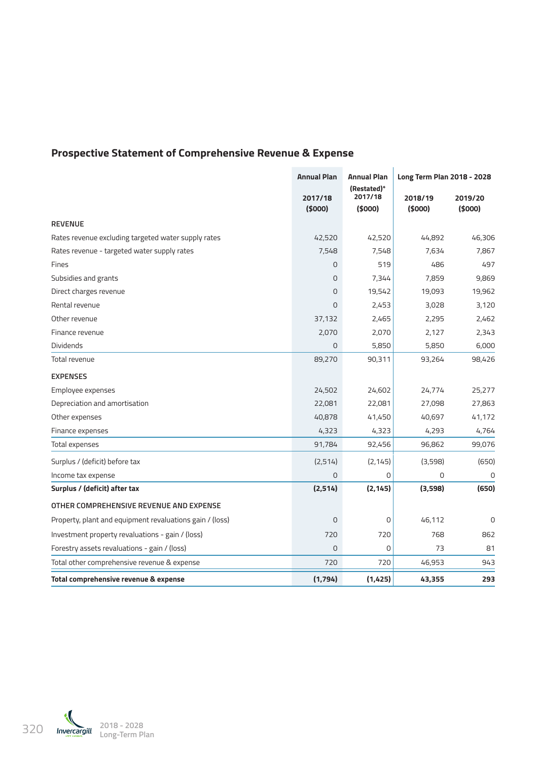# **Prospective Statement of Comprehensive Revenue & Expense**

|                                                          | <b>Annual Plan</b> | <b>Annual Plan</b>               |                   | Long Term Plan 2018 - 2028 |  |  |
|----------------------------------------------------------|--------------------|----------------------------------|-------------------|----------------------------|--|--|
|                                                          | 2017/18<br>(5000)  | (Restated)*<br>2017/18<br>(5000) | 2018/19<br>(5000) | 2019/20<br>(5000)          |  |  |
| <b>REVENUE</b>                                           |                    |                                  |                   |                            |  |  |
| Rates revenue excluding targeted water supply rates      | 42,520             | 42,520                           | 44,892            | 46,306                     |  |  |
| Rates revenue - targeted water supply rates              | 7,548              | 7,548                            | 7,634             | 7,867                      |  |  |
| Fines                                                    | $\mathsf{O}$       | 519                              | 486               | 497                        |  |  |
| Subsidies and grants                                     | $\mathsf{O}$       | 7,344                            | 7,859             | 9,869                      |  |  |
| Direct charges revenue                                   | $\mathsf{O}$       | 19,542                           | 19,093            | 19,962                     |  |  |
| Rental revenue                                           | $\mathsf{O}$       | 2,453                            | 3,028             | 3,120                      |  |  |
| Other revenue                                            | 37,132             | 2,465                            | 2,295             | 2,462                      |  |  |
| Finance revenue                                          | 2,070              | 2,070                            | 2,127             | 2,343                      |  |  |
| Dividends                                                | $\mathsf{O}$       | 5,850                            | 5,850             | 6,000                      |  |  |
| Total revenue                                            | 89,270             | 90,311                           | 93,264            | 98,426                     |  |  |
| <b>EXPENSES</b>                                          |                    |                                  |                   |                            |  |  |
| Employee expenses                                        | 24,502             | 24,602                           | 24,774            | 25,277                     |  |  |
| Depreciation and amortisation                            | 22,081             | 22,081                           | 27,098            | 27,863                     |  |  |
| Other expenses                                           | 40,878             | 41,450                           | 40,697            | 41,172                     |  |  |
| Finance expenses                                         | 4,323              | 4,323                            | 4,293             | 4,764                      |  |  |
| Total expenses                                           | 91,784             | 92,456                           | 96,862            | 99,076                     |  |  |
| Surplus / (deficit) before tax                           | (2,514)            | (2, 145)                         | (3,598)           | (650)                      |  |  |
| Income tax expense                                       | $\mathsf{O}$       | $\circ$                          | $\mathsf{O}$      | $\mathsf{O}$               |  |  |
| Surplus / (deficit) after tax                            | (2,514)            | (2, 145)                         | (3,598)           | (650)                      |  |  |
| OTHER COMPREHENSIVE REVENUE AND EXPENSE                  |                    |                                  |                   |                            |  |  |
| Property, plant and equipment revaluations gain / (loss) | $\mathsf{O}$       | $\Omega$                         | 46,112            | $\mathsf{O}$               |  |  |
| Investment property revaluations - gain / (loss)         | 720                | 720                              | 768               | 862                        |  |  |
| Forestry assets revaluations - gain / (loss)             | $\mathsf{O}$       | 0                                | 73                | 81                         |  |  |
| Total other comprehensive revenue & expense              | 720                | 720                              | 46,953            | 943                        |  |  |
| Total comprehensive revenue & expense                    | (1,794)            | (1,425)                          | 43,355            | 293                        |  |  |

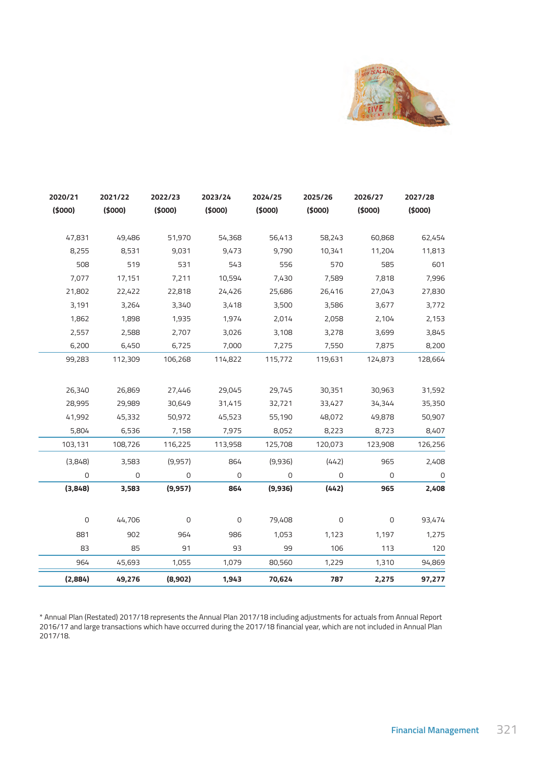

| 2020/21<br>(5000) | 2021/22<br>(\$000) | 2022/23<br>(5000)   | 2023/24<br>(5000) | 2024/25<br>(\$000) | 2025/26<br>(5000) | 2026/27<br>(\$000) | 2027/28<br>(\$000) |
|-------------------|--------------------|---------------------|-------------------|--------------------|-------------------|--------------------|--------------------|
|                   |                    |                     |                   |                    |                   |                    |                    |
| 47,831            | 49,486             | 51,970              | 54,368            | 56,413             | 58,243            | 60,868             | 62,454             |
| 8,255             | 8,531              | 9,031               | 9,473             | 9,790              | 10,341            | 11,204             | 11,813             |
| 508               | 519                | 531                 | 543               | 556                | 570               | 585                |                    |
| 7,077             | 17,151             | 7,211               | 10,594            | 7,430              | 7,589             | 7,818              |                    |
| 21,802            | 22,422             | 22,818              | 24,426            | 25,686             | 26,416            | 27,043             | 27,830             |
| 3,191             | 3,264              | 3,340               | 3,418             | 3,500              | 3,586             | 3,677              |                    |
| 1,862             | 1,898              | 1,935               | 1,974             | 2,014              | 2,058             | 2,104              |                    |
| 2,557             | 2,588              | 2,707               | 3,026             | 3,108              | 3,278             | 3,699              |                    |
| 6,200             | 6,450              | 6,725               | 7,000             | 7,275              | 7,550             | 7,875              |                    |
| 99,283            | 112,309            | 106,268             | 114,822           | 115,772            | 119,631           | 124,873            | 128,664            |
| 26,340            | 26,869             | 27,446              | 29,045            | 29,745             | 30,351            | 30,963             |                    |
| 28,995            | 29,989             | 30,649              | 31,415            | 32,721             | 33,427            | 34,344             |                    |
| 41,992            | 45,332             | 50,972              | 45,523            | 55,190             | 48,072            | 49,878             |                    |
| 5,804             | 6,536              | 7,158               | 7,975             | 8,052              | 8,223             | 8,723              |                    |
| 103,131           | 108,726            | 116,225             | 113,958           | 125,708            | 120,073           | 123,908            |                    |
| (3,848)           | 3,583              | (9,957)             | 864               | (9,936)            | (442)             | 965                |                    |
| $\mathsf{O}$      | $\mathsf{O}$       | $\mathsf{O}\xspace$ | $\overline{0}$    | $\overline{O}$     | 0                 | $\overline{O}$     |                    |
| (3,848)           | 3,583              | (9,957)             | 864               | (9,936)            | (442)             | 965                |                    |
| $\overline{0}$    | 44,706             | $\mathsf{O}$        | $\overline{0}$    | 79,408             | $\overline{0}$    | $\overline{0}$     |                    |
| 881               | 902                | 964                 | 986               | 1,053              | 1,123             | 1,197              |                    |
| 83                | 85                 | 91                  | 93                | 99                 | 106               | 113                |                    |
|                   |                    |                     |                   |                    |                   |                    |                    |
| 964               | 45,693             | 1,055               | 1,079             | 80,560             | 1,229             | 1,310              |                    |
| (2,884)           | 49,276             | (8,902)             | 1,943             | 70,624             | 787               | 2,275              |                    |

\* Annual Plan (Restated) 2017/18 represents the Annual Plan 2017/18 including adjustments for actuals from Annual Report 2016/17 and large transactions which have occurred during the 2017/18 financial year, which are not included in Annual Plan 2017/18.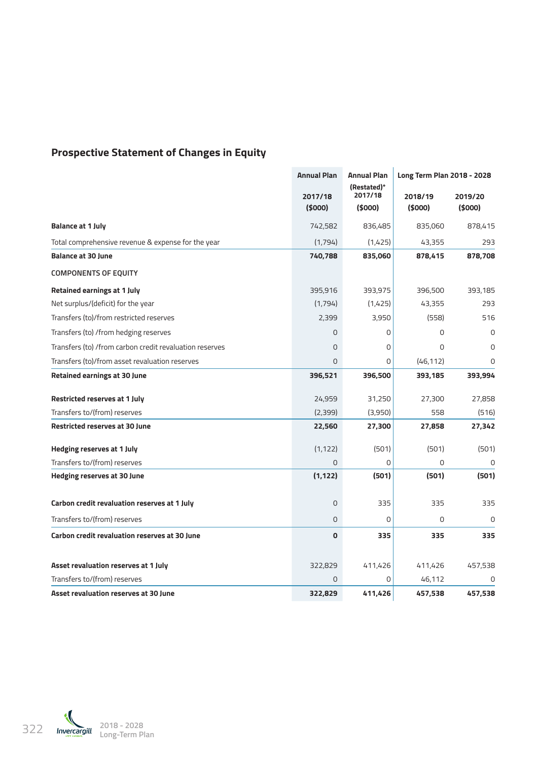# **Prospective Statement of Changes in Equity**

|                                                         | <b>Annual Plan</b> | Annual Plan                       | Long Term Plan 2018 - 2028 |                   |
|---------------------------------------------------------|--------------------|-----------------------------------|----------------------------|-------------------|
|                                                         | 2017/18<br>(5000)  | (Restated)*<br>2017/18<br>(\$000) | 2018/19<br>(5000)          | 2019/20<br>(5000) |
| <b>Balance at 1 July</b>                                | 742,582            | 836,485                           | 835,060                    | 878,415           |
| Total comprehensive revenue & expense for the year      | (1,794)            | (1,425)                           | 43,355                     | 293               |
| <b>Balance at 30 June</b>                               | 740,788            | 835,060                           | 878,415                    | 878,708           |
| <b>COMPONENTS OF EQUITY</b>                             |                    |                                   |                            |                   |
| <b>Retained earnings at 1 July</b>                      | 395,916            | 393,975                           | 396,500                    | 393,185           |
| Net surplus/(deficit) for the year                      | (1,794)            | (1,425)                           | 43,355                     | 293               |
| Transfers (to)/from restricted reserves                 | 2,399              | 3,950                             | (558)                      | 516               |
| Transfers (to) /from hedging reserves                   | $\mathsf{O}$       | 0                                 | 0                          | $\overline{0}$    |
| Transfers (to) /from carbon credit revaluation reserves | $\mathsf{O}$       | 0                                 | $\mathsf{O}$               | $\mathsf{O}$      |
| Transfers (to)/from asset revaluation reserves          | $\mathsf{O}$       | $\circ$                           | (46, 112)                  | 0                 |
| <b>Retained earnings at 30 June</b>                     | 396,521            | 396,500                           | 393,185                    | 393,994           |
| <b>Restricted reserves at 1 July</b>                    | 24,959             | 31,250                            | 27,300                     | 27,858            |
| Transfers to/(from) reserves                            | (2,399)            | (3,950)                           | 558                        | (516)             |
| Restricted reserves at 30 June                          | 22,560             | 27,300                            | 27,858                     | 27,342            |
| <b>Hedging reserves at 1 July</b>                       | (1, 122)           | (501)                             | (501)                      | (501)             |
| Transfers to/(from) reserves                            | $\mathsf{O}$       | 0                                 | $\mathsf{O}$               | 0                 |
| Hedging reserves at 30 June                             | (1, 122)           | (501)                             | (501)                      | (501)             |
| Carbon credit revaluation reserves at 1 July            | $\mathsf{O}$       | 335                               | 335                        | 335               |
| Transfers to/(from) reserves                            | $\mathsf{O}$       | $\mathsf O$                       | $\mathsf{O}$               | $\mathsf{O}$      |
| Carbon credit revaluation reserves at 30 June           | $\mathbf{O}$       | 335                               | 335                        | 335               |
|                                                         |                    |                                   |                            |                   |
| Asset revaluation reserves at 1 July                    | 322,829            | 411,426                           | 411,426                    | 457,538           |
| Transfers to/(from) reserves                            | $\mathsf{O}$       | $\circ$                           | 46,112                     | $\mathsf{O}$      |
| Asset revaluation reserves at 30 June                   | 322,829            | 411,426                           | 457,538                    | 457,538           |

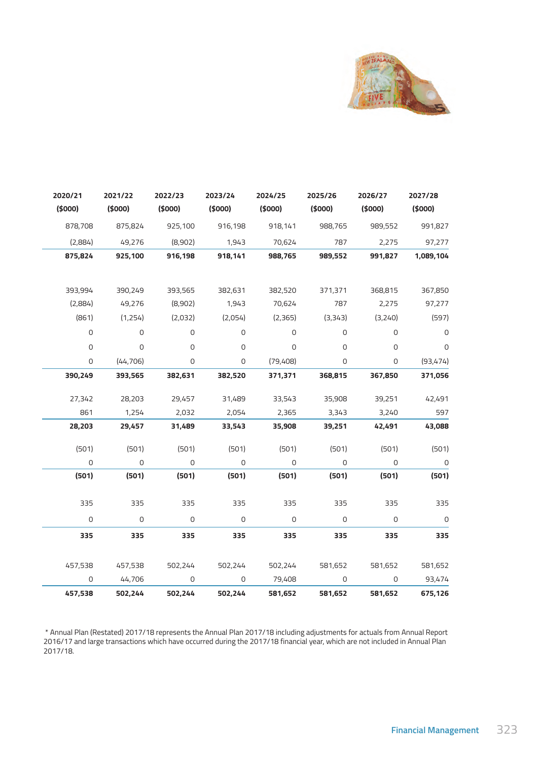

| 2021/22<br>2022/23<br>2023/24<br>2024/25<br>(5000)<br>(5000)<br>(\$000)<br>(\$000) | 2027/28<br>2025/26<br>2026/27<br>(5000)<br>(\$000)<br>(\$000) |
|------------------------------------------------------------------------------------|---------------------------------------------------------------|
| 878,708<br>875,824                                                                 | 991,827<br>918,141<br>988,765<br>989,552                      |
| 925,100<br>916,198                                                                 |                                                               |
| (2,884)                                                                            | 2,275                                                         |
| 49,276                                                                             | 97,277                                                        |
| (8,902)                                                                            | 70,624                                                        |
| 1,943                                                                              | 787                                                           |
| 875,824                                                                            | 988,765                                                       |
| 925,100                                                                            | 989,552                                                       |
| 916,198                                                                            | 991,827                                                       |
| 918,141                                                                            | 1,089,104                                                     |
| 393,994                                                                            | 382,520                                                       |
| 390,249                                                                            | 371,371                                                       |
| 393,565                                                                            | 368,815                                                       |
| 382,631                                                                            | 367,850                                                       |
| (2,884)                                                                            | 787                                                           |
| 49,276                                                                             | 2,275                                                         |
| (8,902)                                                                            | 97,277                                                        |
| 1,943                                                                              | 70,624                                                        |
| (1,254)                                                                            | (597)                                                         |
| (861)                                                                              | (2, 365)                                                      |
| (2,032)                                                                            | (3,343)                                                       |
| (2,054)                                                                            | (3,240)                                                       |
| $\mathsf{O}$<br>$\mathsf{O}$<br>$\overline{0}$<br>$\overline{O}$                   | $\mathsf{O}$<br>$\mathsf{O}$<br>$\overline{O}$                |
| $\mathsf{O}$<br>$\mathsf{O}$<br>$\overline{0}$<br>$\overline{O}$                   | $\mathsf{O}$<br>$\mathsf{O}$<br>$\mathsf{O}$                  |
| $\mathsf{O}$                                                                       | $\mathsf{O}$                                                  |
| (44, 706)                                                                          | $\mathsf{O}$                                                  |
| $\mathsf{O}$                                                                       | (93, 474)                                                     |
| $\mathsf{O}$                                                                       | (79,408)                                                      |
| 390,249                                                                            | 371,371                                                       |
| 393,565                                                                            | 368,815                                                       |
| 382,631                                                                            | 367,850                                                       |
| 382,520                                                                            | 371,056                                                       |
| 27,342                                                                             | 42,491                                                        |
| 28,203                                                                             | 33,543                                                        |
| 29,457                                                                             | 35,908                                                        |
| 31,489                                                                             | 39,251                                                        |
| 861                                                                                | 597                                                           |
| 1,254                                                                              | 2,365                                                         |
| 2,032                                                                              | 3,343                                                         |
| 2,054                                                                              | 3,240                                                         |
| 28,203                                                                             | 39,251                                                        |
| 29,457                                                                             | 42,491                                                        |
| 31,489                                                                             | 43,088                                                        |
| 33,543                                                                             | 35,908                                                        |
| (501)                                                                              | (501)                                                         |
| (501)                                                                              | (501)                                                         |
| (501)                                                                              | (501)                                                         |
| (501)                                                                              | (501)                                                         |
| $\mathsf D$<br>$\mathsf{O}$<br>$\overline{O}$<br>$\overline{0}$                    | $\mathsf{O}$<br>$\mathsf{O}$<br>$\overline{0}$                |
| (501)                                                                              | (501)                                                         |
| (501)                                                                              | (501)                                                         |
| (501)                                                                              | (501)                                                         |
| (501)                                                                              | (501)                                                         |
| 335                                                                                | 335                                                           |
| 335                                                                                | 335                                                           |
| 335                                                                                | 335                                                           |
| 335                                                                                | 335                                                           |
| $\overline{0}$<br>$\mathsf{O}$<br>$\mathsf{O}$<br>$\overline{0}$                   | $\mathsf{O}$<br>$\overline{0}$<br>$\overline{0}$              |
| 335                                                                                | 335                                                           |
| 335                                                                                | 335                                                           |
| 335                                                                                | 335                                                           |
| 335                                                                                | 335                                                           |
| 457,538                                                                            | 502,244                                                       |
| 502,244                                                                            | 581,652                                                       |
| 502,244                                                                            | 581,652                                                       |
| 457,538                                                                            | 581,652                                                       |
| $\overline{0}$                                                                     | 79,408                                                        |
| 44,706                                                                             | $\overline{0}$                                                |
| $\overline{0}$                                                                     | $\overline{0}$                                                |
| $\overline{0}$                                                                     | 93,474                                                        |
| 502,244                                                                            | 581,652                                                       |
| 457,538                                                                            | 581,652                                                       |
| 502,244                                                                            | 581,652                                                       |
| 502,244                                                                            | 675,126                                                       |

 \* Annual Plan (Restated) 2017/18 represents the Annual Plan 2017/18 including adjustments for actuals from Annual Report 2016/17 and large transactions which have occurred during the 2017/18 financial year, which are not included in Annual Plan 2017/18.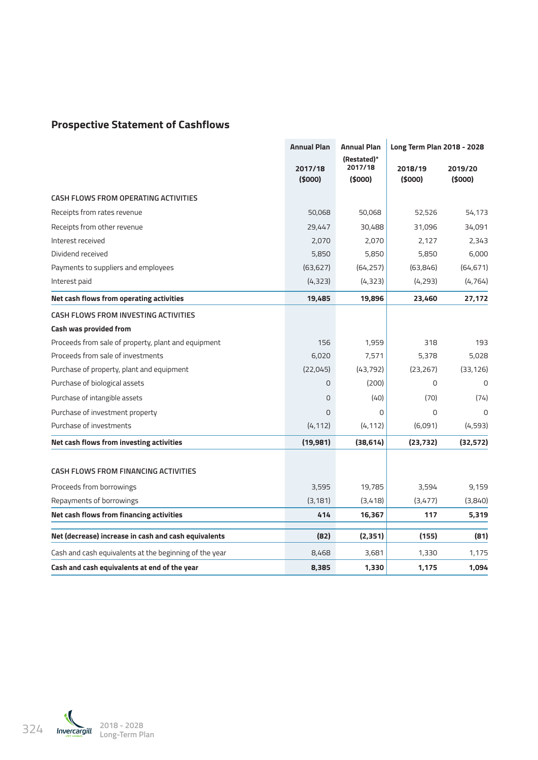# **Prospective Statement of Cashflows**

|                                                        | <b>Annual Plan</b> | <b>Annual Plan</b>               | Long Term Plan 2018 - 2028 |                   |  |
|--------------------------------------------------------|--------------------|----------------------------------|----------------------------|-------------------|--|
|                                                        | 2017/18<br>(5000)  | (Restated)*<br>2017/18<br>(5000) | 2018/19<br>(5000)          | 2019/20<br>(5000) |  |
| CASH FLOWS FROM OPERATING ACTIVITIES                   |                    |                                  |                            |                   |  |
| Receipts from rates revenue                            | 50,068             | 50,068                           | 52,526                     | 54,173            |  |
| Receipts from other revenue                            | 29,447             | 30,488                           | 31,096                     | 34,091            |  |
| Interest received                                      | 2,070              | 2,070                            | 2,127                      | 2,343             |  |
| Dividend received                                      | 5,850              | 5,850                            | 5,850                      | 6,000             |  |
| Payments to suppliers and employees                    | (63, 627)          | (64, 257)                        | (63,846)                   | (64, 671)         |  |
| Interest paid                                          | (4,323)            | (4, 323)                         | (4,293)                    | (4, 764)          |  |
| Net cash flows from operating activities               | 19,485             | 19,896                           | 23,460                     | 27,172            |  |
| CASH FLOWS FROM INVESTING ACTIVITIES                   |                    |                                  |                            |                   |  |
| Cash was provided from                                 |                    |                                  |                            |                   |  |
| Proceeds from sale of property, plant and equipment    | 156                | 1,959                            | 318                        | 193               |  |
| Proceeds from sale of investments                      | 6,020              | 7,571                            | 5,378                      | 5,028             |  |
| Purchase of property, plant and equipment              | (22,045)           | (43, 792)                        | (23, 267)                  | (33, 126)         |  |
| Purchase of biological assets                          | $\overline{0}$     | (200)                            | $\mathsf{O}$               | $\mathsf{O}$      |  |
| Purchase of intangible assets                          | $\circ$            | (40)                             | (70)                       | (74)              |  |
| Purchase of investment property                        | $\mathsf{O}$       | $\Omega$                         | $\mathsf{O}$               | $\mathsf{O}$      |  |
| Purchase of investments                                | (4, 112)           | (4, 112)                         | (6,091)                    | (4, 593)          |  |
| Net cash flows from investing activities               | (19,981)           | (38, 614)                        | (23, 732)                  | (32, 572)         |  |
|                                                        |                    |                                  |                            |                   |  |
| CASH FLOWS FROM FINANCING ACTIVITIES                   |                    |                                  |                            |                   |  |
| Proceeds from borrowings                               | 3,595              | 19,785                           | 3,594                      | 9,159             |  |
| Repayments of borrowings                               | (3, 181)           | (3,418)                          | (3,477)                    | (3,840)           |  |
| Net cash flows from financing activities               | 414                | 16,367                           | 117                        | 5,319             |  |
| Net (decrease) increase in cash and cash equivalents   | (82)               | (2, 351)                         | (155)                      | (81)              |  |
| Cash and cash equivalents at the beginning of the year | 8,468              | 3,681                            | 1,330                      | 1,175             |  |
| Cash and cash equivalents at end of the year           | 8,385              | 1,330                            | 1,175                      | 1,094             |  |

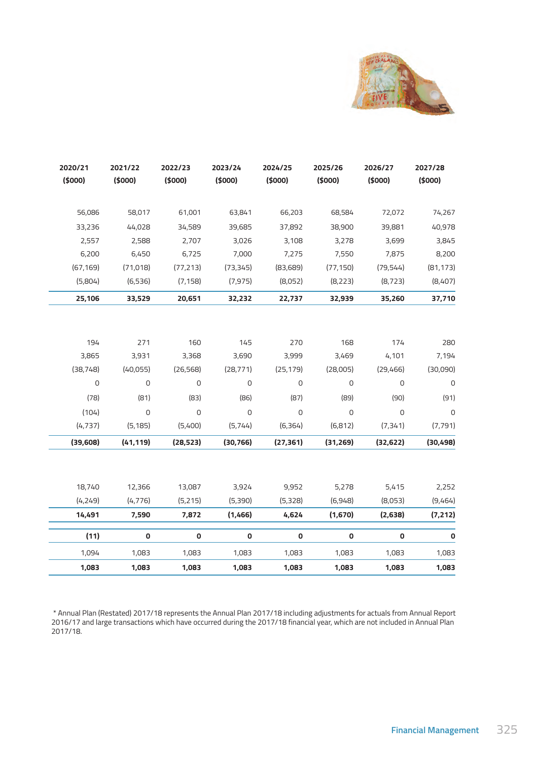

| 2027/28<br>(5000) | 2026/27<br>(5000)                                                       | 2025/26<br>(5000)                                                    | 2024/25<br>(5000)                                                      | 2023/24<br>(5000)                                                        | 2022/23<br>(5000)                                                         | 2021/22<br>(5000)                                                       | 2020/21<br>(5000)                                              |
|-------------------|-------------------------------------------------------------------------|----------------------------------------------------------------------|------------------------------------------------------------------------|--------------------------------------------------------------------------|---------------------------------------------------------------------------|-------------------------------------------------------------------------|----------------------------------------------------------------|
| 74,267            | 72,072                                                                  | 68,584                                                               | 66,203                                                                 | 63,841                                                                   | 61,001                                                                    | 58,017                                                                  | 56,086                                                         |
| 40,978            | 39,881                                                                  | 38,900                                                               | 37,892                                                                 | 39,685                                                                   | 34,589                                                                    | 44,028                                                                  | 33,236                                                         |
| 3,845             | 3,699                                                                   | 3,278                                                                | 3,108                                                                  | 3,026                                                                    | 2,707                                                                     | 2,588                                                                   | 2,557                                                          |
| 8,200             | 7,875                                                                   | 7,550                                                                | 7,275                                                                  | 7,000                                                                    | 6,725                                                                     | 6,450                                                                   | 6,200                                                          |
| (81, 173)         | (79, 544)                                                               | (77, 150)                                                            | (83, 689)                                                              | (73, 345)                                                                | (77, 213)                                                                 | (71, 018)                                                               | (67, 169)                                                      |
| (8,407)           | (8, 723)                                                                | (8,223)                                                              | (8,052)                                                                | (7, 975)                                                                 | (7, 158)                                                                  | (6,536)                                                                 | (5,804)                                                        |
| 37,710            | 35,260                                                                  | 32,939                                                               | 22,737                                                                 | 32,232                                                                   | 20,651                                                                    | 33,529                                                                  | 25,106                                                         |
|                   | 4,101<br>(29,466)<br>$\mathsf{O}$<br>(90)<br>$\overline{O}$<br>(7, 341) | 3,469<br>(28,005)<br>$\mathsf O$<br>(89)<br>$\mathsf{O}$<br>(6, 812) | 3,999<br>(25, 179)<br>$\mathsf{O}$<br>(87)<br>$\mathsf{O}$<br>(6, 364) | 3,690<br>(28, 771)<br>$\mathsf{O}$<br>(86)<br>$\overline{O}$<br>(5, 744) | 3,368<br>(26, 568)<br>$\overline{O}$<br>(83)<br>$\overline{O}$<br>(5,400) | 3,931<br>(40,055)<br>$\mathsf{O}$<br>(81)<br>$\overline{0}$<br>(5, 185) | 3,865<br>(38, 748)<br>$\mathsf O$<br>(78)<br>(104)<br>(4, 737) |
| (30, 498)         | (32, 622)                                                               | (31, 269)                                                            | (27, 361)                                                              | (30, 766)                                                                | (28, 523)                                                                 | (41, 119)                                                               | (39, 608)                                                      |
|                   | 5,415<br>(8,053)                                                        | 5,278<br>(6,948)                                                     | 9,952<br>(5,328)                                                       | 3,924<br>(5,390)                                                         | 13,087<br>(5,215)                                                         | 12,366<br>(4, 776)                                                      | 18,740<br>(4,249)                                              |
| (7, 212)          | (2, 638)                                                                | (1,670)                                                              | 4,624                                                                  | (1,466)                                                                  | 7,872                                                                     | 7,590                                                                   | 14,491                                                         |
|                   | $\mathbf 0$                                                             | $\mathbf 0$                                                          | $\mathbf 0$                                                            | $\mathbf 0$                                                              | $\mathbf 0$                                                               | $\mathbf 0$                                                             | (11)                                                           |
|                   | 1,083                                                                   | 1,083                                                                | 1,083                                                                  | 1,083                                                                    | 1,083                                                                     | 1,083                                                                   | 1,094                                                          |
|                   |                                                                         |                                                                      | 1,083                                                                  | 1,083                                                                    | 1,083                                                                     | 1,083                                                                   | 1,083                                                          |

 \* Annual Plan (Restated) 2017/18 represents the Annual Plan 2017/18 including adjustments for actuals from Annual Report 2016/17 and large transactions which have occurred during the 2017/18 financial year, which are not included in Annual Plan 2017/18.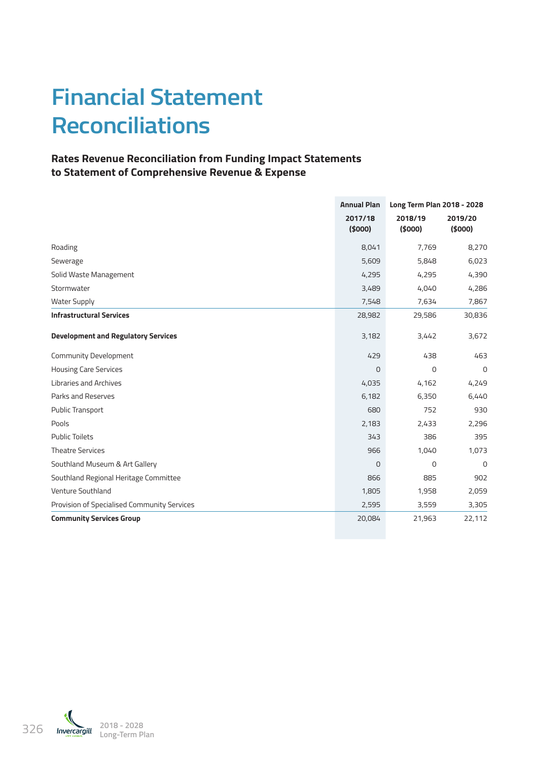# **Financial Statement Reconciliations**

### **Rates Revenue Reconciliation from Funding Impact Statements to Statement of Comprehensive Revenue & Expense**

|                                             | <b>Annual Plan</b> | Long Term Plan 2018 - 2028 |                    |
|---------------------------------------------|--------------------|----------------------------|--------------------|
|                                             | 2017/18<br>(5000)  | 2018/19<br>(\$000)         | 2019/20<br>(\$000) |
| Roading                                     | 8,041              | 7,769                      | 8,270              |
| Sewerage                                    | 5,609              | 5,848                      | 6,023              |
| Solid Waste Management                      | 4,295              | 4,295                      | 4,390              |
| Stormwater                                  | 3,489              | 4,040                      | 4,286              |
| <b>Water Supply</b>                         | 7,548              | 7,634                      | 7,867              |
| <b>Infrastructural Services</b>             | 28,982             | 29,586                     | 30,836             |
| <b>Development and Regulatory Services</b>  | 3,182              | 3,442                      | 3,672              |
| Community Development                       | 429                | 438                        | 463                |
| <b>Housing Care Services</b>                | $\mathsf{O}$       | $\mathsf{O}$               | $\mathsf O$        |
| <b>Libraries and Archives</b>               | 4,035              | 4,162                      | 4,249              |
| Parks and Reserves                          | 6,182              | 6,350                      | 6,440              |
| Public Transport                            | 680                | 752                        | 930                |
| Pools                                       | 2,183              | 2,433                      | 2,296              |
| <b>Public Toilets</b>                       | 343                | 386                        | 395                |
| Theatre Services                            | 966                | 1,040                      | 1,073              |
| Southland Museum & Art Gallery              | $\mathsf{O}$       | $\mathsf{O}$               | $\mathsf O$        |
| Southland Regional Heritage Committee       | 866                | 885                        | 902                |
| Venture Southland                           | 1,805              | 1,958                      | 2,059              |
| Provision of Specialised Community Services | 2,595              | 3,559                      | 3,305              |
| <b>Community Services Group</b>             | 20,084             | 21,963                     | 22,112             |
|                                             |                    |                            |                    |

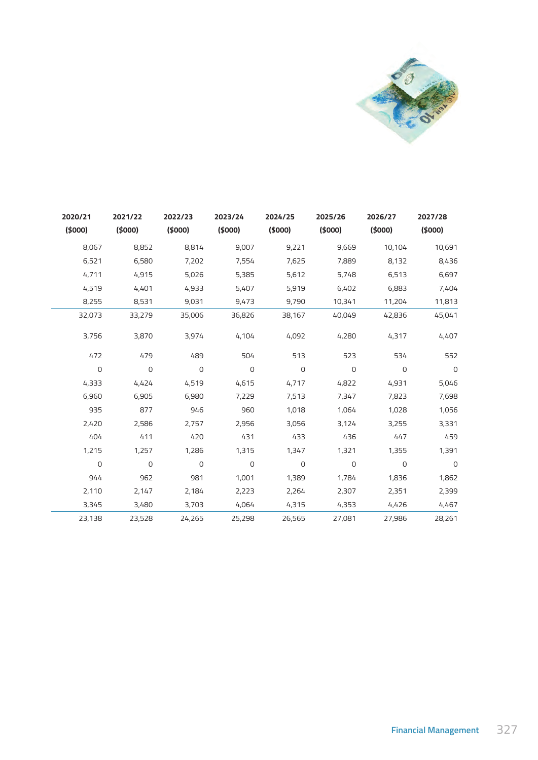

| 2027/28 | 2026/27        | 2025/26      | 2024/25        | 2023/24      | 2022/23      | 2021/22      | 2020/21      |
|---------|----------------|--------------|----------------|--------------|--------------|--------------|--------------|
| (\$000) | (\$000)        | (\$000)      | (\$000)        | (\$000)      | (\$000)      | (5000)       | (\$000)      |
| 10,691  | 10,104         | 9,669        | 9,221          | 9,007        | 8,814        | 8,852        | 8,067        |
| 8,436   | 8,132          | 7,889        | 7,625          | 7,554        | 7,202        | 6,580        | 6,521        |
| 6,697   | 6,513          | 5,748        | 5,612          | 5,385        | 5,026        | 4,915        | 4,711        |
| 7,404   | 6,883          | 6,402        | 5,919          | 5,407        | 4,933        | 4,401        | 4,519        |
| 11,813  | 11,204         | 10,341       | 9,790          | 9,473        | 9,031        | 8,531        | 8,255        |
| 45,041  | 42,836         | 40,049       | 38,167         | 36,826       | 35,006       | 33,279       | 32,073       |
| 4,407   | 4,317          | 4,280        | 4,092          | 4,104        | 3,974        | 3,870        | 3,756        |
| 552     | 534            | 523          | 513            | 504          | 489          | 479          | 472          |
|         | $\overline{0}$ | $\mathsf{O}$ | $\overline{0}$ | $\mathsf{O}$ | $\mathsf{O}$ | $\mathsf{O}$ | $\mathsf{O}$ |
| 5,046   | 4,931          | 4,822        | 4,717          | 4,615        | 4,519        | 4,424        | 4,333        |
| 7,698   | 7,823          | 7,347        | 7,513          | 7,229        | 6,980        | 6,905        | 6,960        |
| 1,056   | 1,028          | 1,064        | 1,018          | 960          | 946          | 877          | 935          |
| 3,331   | 3,255          | 3,124        | 3,056          | 2,956        | 2,757        | 2,586        | 2,420        |
| 459     | 447            | 436          | 433            | 431          | 420          | 411          | 404          |
| 1,391   | 1,355          | 1,321        | 1,347          | 1,315        | 1,286        | 1,257        | 1,215        |
|         | $\mathsf{O}$   | $\mathsf O$  | $\mathsf{O}$   | $\mathsf O$  | $\mathsf{O}$ | $\mathsf{O}$ | $\mathsf{O}$ |
| 1,862   | 1,836          | 1,784        | 1,389          | 1,001        | 981          | 962          | 944          |
| 2,399   | 2,351          | 2,307        | 2,264          | 2,223        | 2,184        | 2,147        | 2,110        |
| 4,467   | 4,426          | 4,353        | 4,315          | 4,064        | 3,703        | 3,480        | 3,345        |
| 28,261  | 27,986         | 27,081       | 26,565         | 25,298       | 24,265       | 23,528       | 23,138       |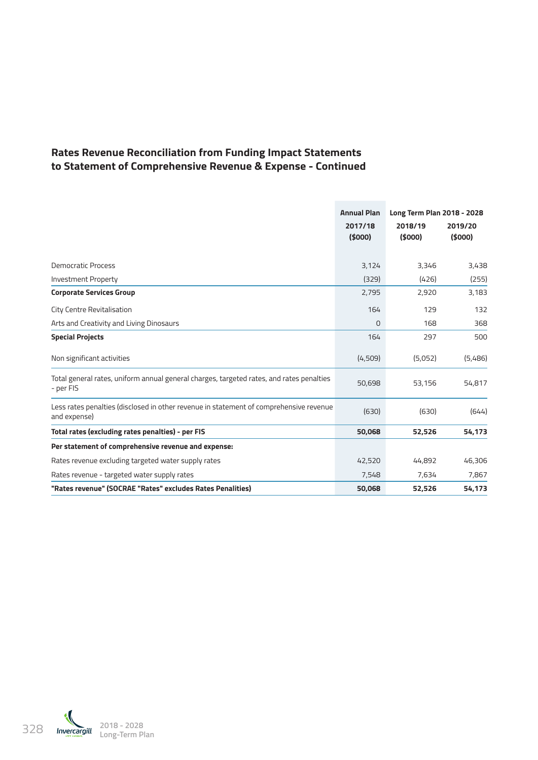### **Rates Revenue Reconciliation from Funding Impact Statements to Statement of Comprehensive Revenue & Expense - Continued**

|                                                                                                        | <b>Annual Plan</b> | Long Term Plan 2018 - 2028 |                    |  |
|--------------------------------------------------------------------------------------------------------|--------------------|----------------------------|--------------------|--|
|                                                                                                        | 2017/18<br>(5000)  | 2018/19<br>(\$000)         | 2019/20<br>(\$000) |  |
| <b>Democratic Process</b>                                                                              | 3,124              | 3,346                      | 3,438              |  |
| <b>Investment Property</b>                                                                             | (329)              | (426)                      | (255)              |  |
| <b>Corporate Services Group</b>                                                                        | 2,795              | 2,920                      | 3,183              |  |
| <b>City Centre Revitalisation</b>                                                                      | 164                | 129                        | 132                |  |
| Arts and Creativity and Living Dinosaurs                                                               | $\mathsf{O}$       | 168                        | 368                |  |
| <b>Special Projects</b>                                                                                | 164                | 297                        | 500                |  |
| Non significant activities                                                                             | (4,509)            | (5,052)                    | (5,486)            |  |
| Total general rates, uniform annual general charges, targeted rates, and rates penalties<br>- per FIS  | 50,698             | 53,156                     | 54,817             |  |
| Less rates penalties (disclosed in other revenue in statement of comprehensive revenue<br>and expense) | (630)              | (630)                      | (644)              |  |
| Total rates (excluding rates penalties) - per FIS                                                      | 50,068             | 52,526                     | 54,173             |  |
| Per statement of comprehensive revenue and expense:                                                    |                    |                            |                    |  |
| Rates revenue excluding targeted water supply rates                                                    | 42,520             | 44,892                     | 46,306             |  |
| Rates revenue - targeted water supply rates                                                            | 7,548              | 7,634                      | 7,867              |  |
| "Rates revenue" (SOCRAE "Rates" excludes Rates Penalities)                                             | 50,068             | 52,526                     | 54,173             |  |

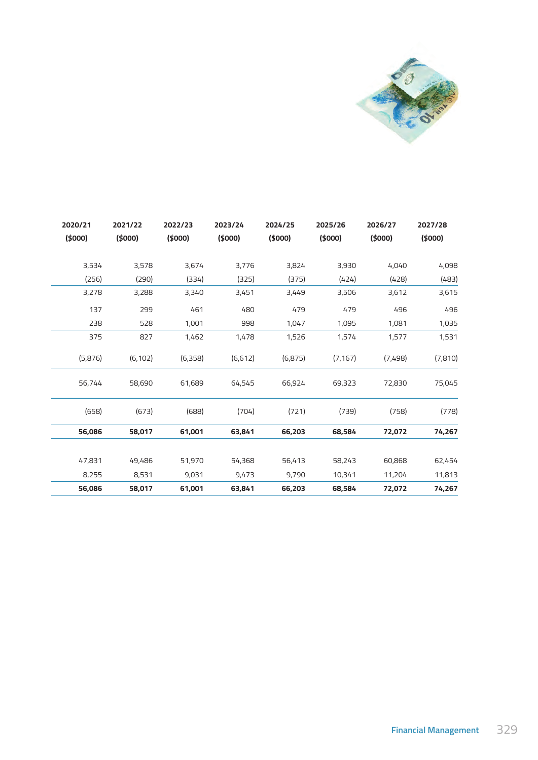

| 2027/28 | 2026/27 | 2025/26  | 2024/25  | 2023/24 | 2022/23  | 2021/22  | 2020/21 |
|---------|---------|----------|----------|---------|----------|----------|---------|
| (\$000) | (\$000) | (\$000)  | (\$000)  | (\$000) | (\$000)  | (\$000)  | (\$000) |
| 4,098   | 4,040   | 3,930    | 3,824    | 3,776   | 3,674    | 3,578    | 3,534   |
| (483)   | (428)   | (424)    | (375)    | (325)   | (334)    | (290)    | (256)   |
| 3,615   | 3,612   | 3,506    | 3,449    | 3,451   | 3,340    | 3,288    | 3,278   |
| 496     | 496     | 479      | 479      | 480     | 461      | 299      | 137     |
| 1,035   | 1,081   | 1,095    | 1,047    | 998     | 1,001    | 528      | 238     |
| 1,531   | 1,577   | 1,574    | 1,526    | 1,478   | 1,462    | 827      | 375     |
| (7,810) | (7,498) | (7, 167) | (6, 875) | (6,612) | (6, 358) | (6, 102) | (5,876) |
| 75,045  | 72,830  | 69,323   | 66,924   | 64,545  | 61,689   | 58,690   | 56,744  |
| (778)   | (758)   | (739)    | (721)    | (704)   | (688)    | (673)    | (658)   |
| 74,267  | 72,072  | 68,584   | 66,203   | 63,841  | 61,001   | 58,017   | 56,086  |
| 62,454  | 60,868  | 58,243   | 56,413   | 54,368  | 51,970   | 49,486   | 47,831  |
| 11,813  | 11,204  | 10,341   | 9,790    | 9,473   | 9,031    | 8,531    | 8,255   |
| 74,267  | 72,072  | 68,584   | 66,203   | 63,841  | 61,001   | 58,017   | 56,086  |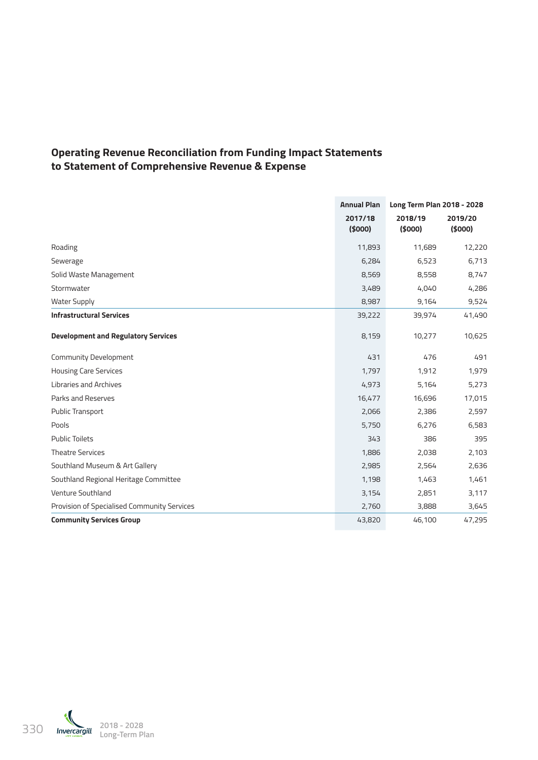### **Operating Revenue Reconciliation from Funding Impact Statements to Statement of Comprehensive Revenue & Expense**

|                                             | <b>Annual Plan</b> | Long Term Plan 2018 - 2028 |                    |
|---------------------------------------------|--------------------|----------------------------|--------------------|
|                                             | 2017/18<br>(5000)  | 2018/19<br>(\$000)         | 2019/20<br>(\$000) |
|                                             |                    |                            |                    |
| Roading                                     | 11,893             | 11,689                     | 12,220             |
| Sewerage                                    | 6,284              | 6,523                      | 6,713              |
| Solid Waste Management                      | 8,569              | 8,558                      | 8,747              |
| Stormwater                                  | 3,489              | 4,040                      | 4,286              |
| <b>Water Supply</b>                         | 8,987              | 9,164                      | 9,524              |
| <b>Infrastructural Services</b>             | 39,222             | 39,974                     | 41,490             |
| <b>Development and Regulatory Services</b>  | 8,159              | 10,277                     | 10,625             |
| Community Development                       | 431                | 476                        | 491                |
| <b>Housing Care Services</b>                | 1,797              | 1,912                      | 1,979              |
| Libraries and Archives                      | 4,973              | 5,164                      | 5,273              |
| Parks and Reserves                          | 16,477             | 16,696                     | 17,015             |
| Public Transport                            | 2,066              | 2,386                      | 2,597              |
| Pools                                       | 5,750              | 6,276                      | 6,583              |
| Public Toilets                              | 343                | 386                        | 395                |
| <b>Theatre Services</b>                     | 1,886              | 2,038                      | 2,103              |
| Southland Museum & Art Gallery              | 2,985              | 2,564                      | 2,636              |
| Southland Regional Heritage Committee       | 1,198              | 1,463                      | 1,461              |
| Venture Southland                           | 3,154              | 2,851                      | 3,117              |
| Provision of Specialised Community Services | 2,760              | 3,888                      | 3,645              |
| <b>Community Services Group</b>             | 43,820             | 46,100                     | 47,295             |

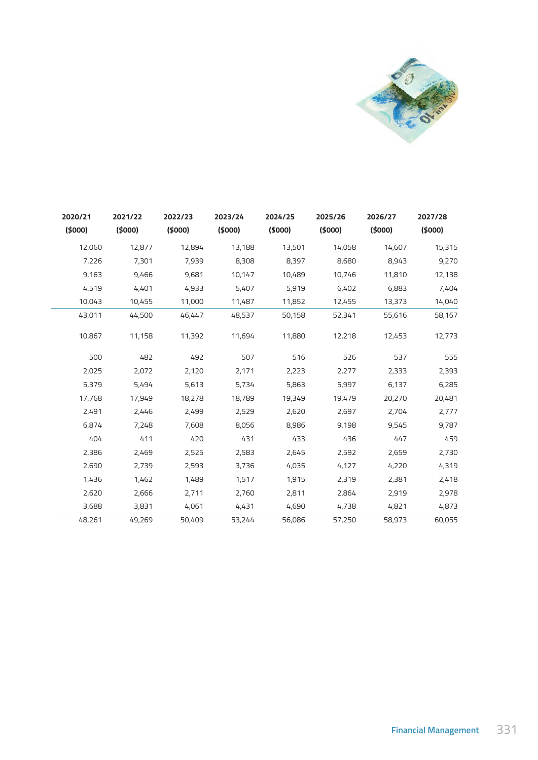

| 2022/23<br>2023/24<br>2024/25<br>2025/26<br>(\$000)<br>(\$000)<br>(\$000)<br>(\$000)<br>(\$000) | 2021/22 | 2020/21<br>(\$000) |
|-------------------------------------------------------------------------------------------------|---------|--------------------|
| 12,877<br>12,894<br>13,188<br>13,501<br>14,058                                                  |         | 12,060             |
| 8,680<br>7,301<br>7,939<br>8,308<br>8,397                                                       |         | 7,226              |
| 9,466<br>9,681<br>10,147<br>10,489<br>10,746                                                    |         | 9,163              |
| 4,933<br>5,407<br>5,919<br>4,401<br>6,402                                                       |         | 4,519              |
| 10,455<br>11,000<br>11,487<br>12,455<br>11,852                                                  |         | 10,043             |
| 44,500<br>50,158<br>46,447<br>48,537<br>52,341                                                  |         | 43,011             |
| 11,880<br>12,218<br>11,158<br>11,392<br>11,694                                                  |         | 10,867             |
| 492<br>516<br>482<br>507<br>526                                                                 |         | 500                |
| 2,072<br>2,120<br>2,171<br>2,223<br>2,277                                                       |         | 2,025              |
| 5,734<br>5,997<br>5,494<br>5,613<br>5,863                                                       |         | 5,379              |
| 18,278<br>18,789<br>19,349<br>19,479<br>17,949                                                  |         | 17,768             |
| 2,529<br>2,697<br>2,446<br>2,499<br>2,620                                                       |         | 2,491              |
| 7,608<br>7,248<br>8,056<br>8,986<br>9,198                                                       |         | 6,874              |
| 411<br>420<br>431<br>433<br>436                                                                 |         | 404                |
| 2,469<br>2,525<br>2,583<br>2,645<br>2,592                                                       |         | 2,386              |
| 2,739<br>2,593<br>3,736<br>4,035<br>4,127                                                       |         | 2,690              |
| 1,462<br>1,489<br>1,517<br>1,915<br>2,319                                                       |         | 1,436              |
| 2,666<br>2,711<br>2,760<br>2,811<br>2,864                                                       |         | 2,620              |
| 3,831<br>4,061<br>4,431<br>4,690<br>4,738                                                       |         | 3,688              |
| 49,269<br>50,409<br>53,244<br>56,086<br>57,250                                                  |         | 48,261             |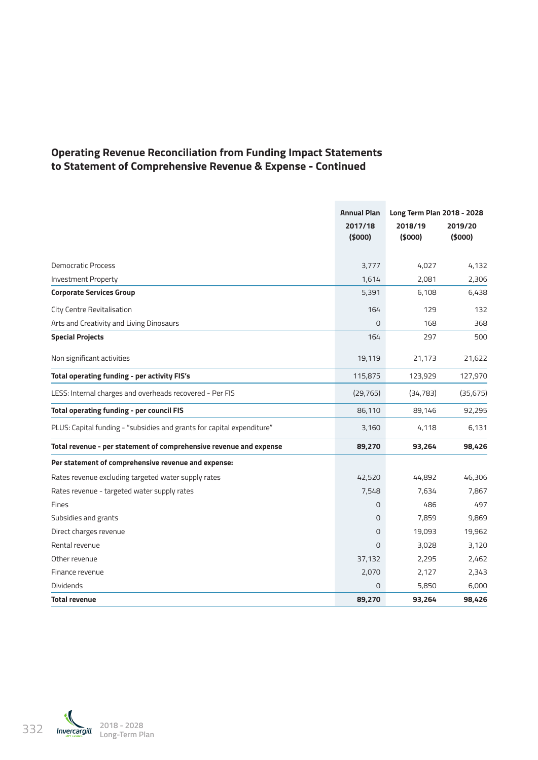### **Operating Revenue Reconciliation from Funding Impact Statements to Statement of Comprehensive Revenue & Expense - Continued**

|                                                                        | <b>Annual Plan</b>  | Long Term Plan 2018 - 2028 |                    |
|------------------------------------------------------------------------|---------------------|----------------------------|--------------------|
|                                                                        | 2017/18<br>(5000)   | 2018/19<br>(\$000)         | 2019/20<br>(\$000) |
| <b>Democratic Process</b>                                              | 3,777               | 4,027                      | 4,132              |
| <b>Investment Property</b>                                             | 1,614               | 2,081                      | 2,306              |
| <b>Corporate Services Group</b>                                        | 5,391               | 6,108                      | 6,438              |
| <b>City Centre Revitalisation</b>                                      | 164                 | 129                        | 132                |
| Arts and Creativity and Living Dinosaurs                               | $\mathsf{O}$        | 168                        | 368                |
| <b>Special Projects</b>                                                | 164                 | 297                        | 500                |
| Non significant activities                                             | 19,119              | 21,173                     | 21,622             |
| Total operating funding - per activity FIS's                           | 115,875             | 123,929                    | 127,970            |
| LESS: Internal charges and overheads recovered - Per FIS               | (29, 765)           | (34, 783)                  | (35, 675)          |
| Total operating funding - per council FIS                              | 86,110              | 89,146                     | 92,295             |
| PLUS: Capital funding - "subsidies and grants for capital expenditure" | 3,160               | 4,118                      | 6,131              |
| Total revenue - per statement of comprehensive revenue and expense     | 89,270              | 93,264                     | 98,426             |
| Per statement of comprehensive revenue and expense:                    |                     |                            |                    |
| Rates revenue excluding targeted water supply rates                    | 42,520              | 44,892                     | 46,306             |
| Rates revenue - targeted water supply rates                            | 7,548               | 7,634                      | 7,867              |
| Fines                                                                  | $\mathsf{O}$        | 486                        | 497                |
| Subsidies and grants                                                   | $\mathsf{O}\xspace$ | 7,859                      | 9,869              |
| Direct charges revenue                                                 | $\overline{0}$      | 19,093                     | 19,962             |
| Rental revenue                                                         | $\mathsf{O}$        | 3,028                      | 3,120              |
| Other revenue                                                          | 37,132              | 2,295                      | 2,462              |
| Finance revenue                                                        | 2,070               | 2,127                      | 2,343              |
| Dividends                                                              | $\overline{0}$      | 5,850                      | 6,000              |
| <b>Total revenue</b>                                                   | 89,270              | 93,264                     | 98,426             |

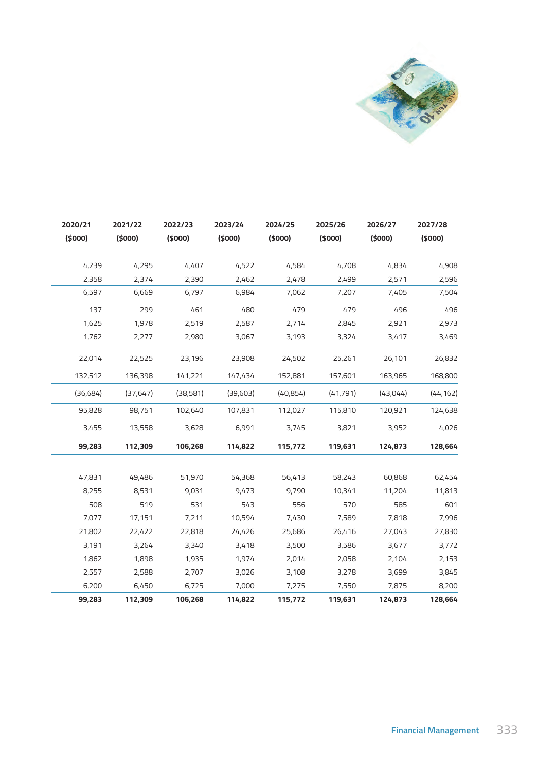

| 2027/28<br>(\$000) | 2026/27<br>(5000) | 2025/26<br>(5000) | 2024/25<br>(\$000) | 2023/24<br>(\$000) | 2022/23<br>(5000) | 2021/22<br>(5000) | 2020/21<br>(5000) |
|--------------------|-------------------|-------------------|--------------------|--------------------|-------------------|-------------------|-------------------|
|                    |                   |                   |                    |                    |                   |                   |                   |
| 4,908              | 4,834             | 4,708             | 4,584              | 4,522              | 4,407             | 4,295             | 4,239             |
| 2,596              | 2,571             | 2,499             | 2,478              | 2,462              | 2,390             | 2,374             | 2,358             |
| 7,504              | 7,405             | 7,207             | 7,062              | 6,984              | 6,797             | 6,669             | 6,597             |
| 496                | 496               | 479               | 479                | 480                | 461               | 299               | 137               |
| 2,973              | 2,921             | 2,845             | 2,714              | 2,587              | 2,519             | 1,978             | 1,625             |
| 3,469              | 3,417             | 3,324             | 3,193              | 3,067              | 2,980             | 2,277             | 1,762             |
| 26,832             | 26,101            | 25,261            | 24,502             | 23,908             | 23,196            | 22,525            | 22,014            |
| 168,800            | 163,965           | 157,601           | 152,881            | 147,434            | 141,221           | 136,398           | 132,512           |
|                    |                   |                   |                    |                    |                   |                   |                   |
| (44, 162)          | (43,044)          | (41, 791)         | (40, 854)          | (39, 603)          | (38, 581)         | (37, 647)         | (36,684)          |
| 124,638            | 120,921           | 115,810           | 112,027            | 107,831            | 102,640           | 98,751            | 95,828            |
| 4,026              | 3,952             | 3,821             | 3,745              | 6,991              | 3,628             | 13,558            | 3,455             |
| 128,664            | 124,873           | 119,631           | 115,772            | 114,822            | 106,268           | 112,309           | 99,283            |
| 62,454             | 60,868            | 58,243            | 56,413             | 54,368             | 51,970            | 49,486            | 47,831            |
| 11,813             | 11,204            | 10,341            | 9,790              | 9,473              | 9,031             | 8,531             | 8,255             |
| 601                | 585               | 570               | 556                | 543                | 531               | 519               | 508               |
| 7,996              | 7,818             | 7,589             | 7,430              | 10,594             | 7,211             | 17,151            | 7,077             |
| 27,830             | 27,043            | 26,416            | 25,686             | 24,426             | 22,818            | 22,422            | 21,802            |
| 3,772              | 3,677             | 3,586             | 3,500              | 3,418              | 3,340             | 3,264             | 3,191             |
| 2,153              | 2,104             | 2,058             | 2,014              | 1,974              | 1,935             | 1,898             | 1,862             |
| 3,845              | 3,699             | 3,278             | 3,108              | 3,026              | 2,707             | 2,588             | 2,557             |
| 8,200              | 7,875             | 7,550             | 7,275              | 7,000              | 6,725             | 6,450             | 6,200             |
| 128,664            | 124,873           | 119,631           | 115,772            | 114,822            | 106,268           | 112,309           | 99,283            |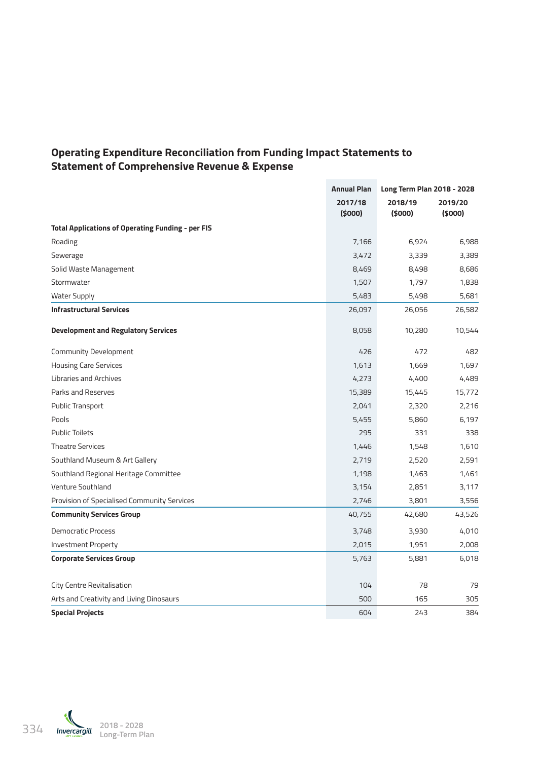### **Operating Expenditure Reconciliation from Funding Impact Statements to Statement of Comprehensive Revenue & Expense**

|                                                          | <b>Annual Plan</b> | Long Term Plan 2018 - 2028 |                   |
|----------------------------------------------------------|--------------------|----------------------------|-------------------|
|                                                          | 2017/18<br>(5000)  | 2018/19<br>(5000)          | 2019/20<br>(5000) |
| <b>Total Applications of Operating Funding - per FIS</b> |                    |                            |                   |
| Roading                                                  | 7,166              | 6,924                      | 6,988             |
| Sewerage                                                 | 3,472              | 3,339                      | 3,389             |
| Solid Waste Management                                   | 8,469              | 8,498                      | 8,686             |
| Stormwater                                               | 1,507              | 1,797                      | 1,838             |
| <b>Water Supply</b>                                      | 5,483              | 5,498                      | 5,681             |
| <b>Infrastructural Services</b>                          | 26,097             | 26,056                     | 26,582            |
| <b>Development and Regulatory Services</b>               | 8,058              | 10,280                     | 10,544            |
| Community Development                                    | 426                | 472                        | 482               |
| <b>Housing Care Services</b>                             | 1,613              | 1,669                      | 1,697             |
| <b>Libraries and Archives</b>                            | 4,273              | 4,400                      | 4,489             |
| Parks and Reserves                                       | 15,389             | 15,445                     | 15,772            |
| Public Transport                                         | 2,041              | 2,320                      | 2,216             |
| Pools                                                    | 5,455              | 5,860                      | 6,197             |
| <b>Public Toilets</b>                                    | 295                | 331                        | 338               |
| <b>Theatre Services</b>                                  | 1,446              | 1,548                      | 1,610             |
| Southland Museum & Art Gallery                           | 2,719              | 2,520                      | 2,591             |
| Southland Regional Heritage Committee                    | 1,198              | 1,463                      | 1,461             |
| Venture Southland                                        | 3,154              | 2,851                      | 3,117             |
| Provision of Specialised Community Services              | 2,746              | 3,801                      | 3,556             |
| <b>Community Services Group</b>                          | 40,755             | 42,680                     | 43,526            |
| <b>Democratic Process</b>                                | 3,748              | 3,930                      | 4,010             |
| Investment Property                                      | 2,015              | 1,951                      | 2,008             |
| <b>Corporate Services Group</b>                          | 5,763              | 5,881                      | 6,018             |
| <b>City Centre Revitalisation</b>                        | 104                | 78                         | 79                |
| Arts and Creativity and Living Dinosaurs                 | 500                | 165                        | 305               |
| <b>Special Projects</b>                                  | 604                | 243                        | 384               |

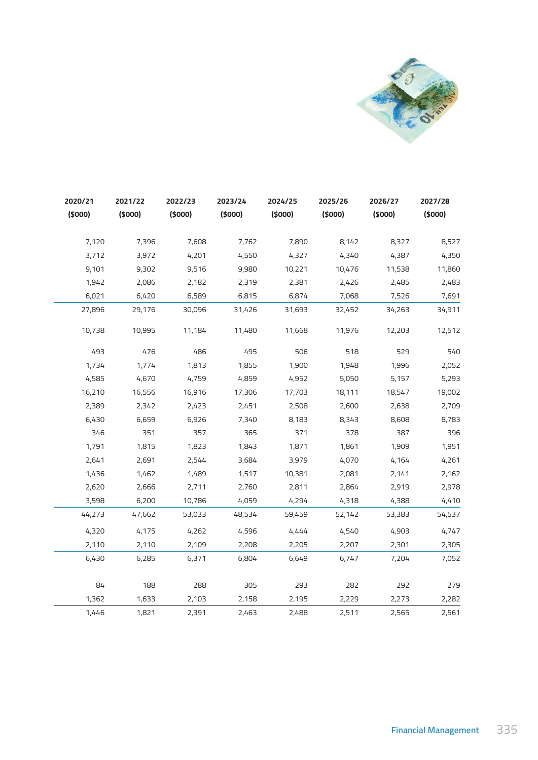

|        | 2020/21 | 2021/22<br>2022/23 | 2023/24 | 2024/25 | 2025/26 | 2026/27 | 2027/28 |
|--------|---------|--------------------|---------|---------|---------|---------|---------|
|        | (\$000) | (5000)<br>(5000)   | (5000)  | (5000)  | (5000)  | (5000)  | (\$000) |
| 7,396  | 7,120   | 7,608              | 7,762   | 7,890   | 8,142   | 8,327   | 8,527   |
| 3,972  | 3,712   | 4,201              | 4,550   | 4,327   | 4,340   | 4,387   | 4,350   |
| 9,302  | 9,101   | 9,516              | 9,980   | 10,221  | 10,476  | 11,538  | 11,860  |
| 2,086  | 1,942   | 2,182              | 2,319   | 2,381   | 2,426   | 2,485   | 2,483   |
| 6,420  | 6,021   | 6,589              | 6,815   | 6,874   | 7,068   | 7,526   | 7,691   |
| 29,176 | 27,896  | 30,096             | 31,426  | 31,693  | 32,452  | 34,263  | 34,911  |
| 10,995 | 10,738  | 11,184             | 11,480  | 11,668  | 11,976  | 12,203  | 12,512  |
| 476    | 493     | 486                | 495     | 506     | 518     | 529     | 540     |
| 1,774  | 1,734   | 1,813              | 1,855   | 1,900   | 1,948   | 1,996   | 2,052   |
| 4,670  | 4,585   | 4,759              | 4,859   | 4,952   | 5,050   | 5,157   | 5,293   |
| 16,556 | 16,210  | 16,916             | 17,306  | 17,703  | 18,111  | 18,547  | 19,002  |
| 2,342  | 2,389   | 2,423              | 2,451   | 2,508   | 2,600   | 2,638   | 2,709   |
| 6,659  | 6,430   | 6,926              | 7,340   | 8,183   | 8,343   | 8,608   | 8,783   |
| 351    | 346     | 357                | 365     | 371     | 378     | 387     | 396     |
| 1,815  | 1,791   | 1,823              | 1,843   | 1,871   | 1,861   | 1,909   | 1,951   |
| 2,691  | 2,641   | 2,544              | 3,684   | 3,979   | 4,070   | 4,164   | 4,261   |
| 1,462  | 1,436   | 1,489              | 1,517   | 10,381  | 2,081   | 2,141   | 2,162   |
| 2,666  | 2,620   | 2,711              | 2,760   | 2,811   | 2,864   | 2,919   | 2,978   |
| 6,200  | 3,598   | 10,786             | 4,059   | 4,294   | 4,318   | 4,388   | 4,410   |
| 47,662 | 44,273  | 53,033             | 48,534  | 59,459  | 52,142  | 53,383  | 54,537  |
| 4,175  | 4,320   | 4,262              | 4,596   | 4,444   | 4,540   | 4,903   | 4,747   |
| 2,110  | 2,110   | 2,109              | 2,208   | 2,205   | 2,207   | 2,301   | 2,305   |
| 6,285  | 6,430   | 6,371              | 6,804   | 6,649   | 6,747   | 7,204   | 7,052   |
| 188    | 84      | 288                | 305     | 293     | 282     | 292     | 279     |
| 1,633  | 1,362   | 2,103              | 2,158   | 2,195   | 2,229   | 2,273   | 2,282   |
| 1,821  | 1,446   | 2,391              | 2,463   | 2,488   | 2,511   | 2,565   | 2,561   |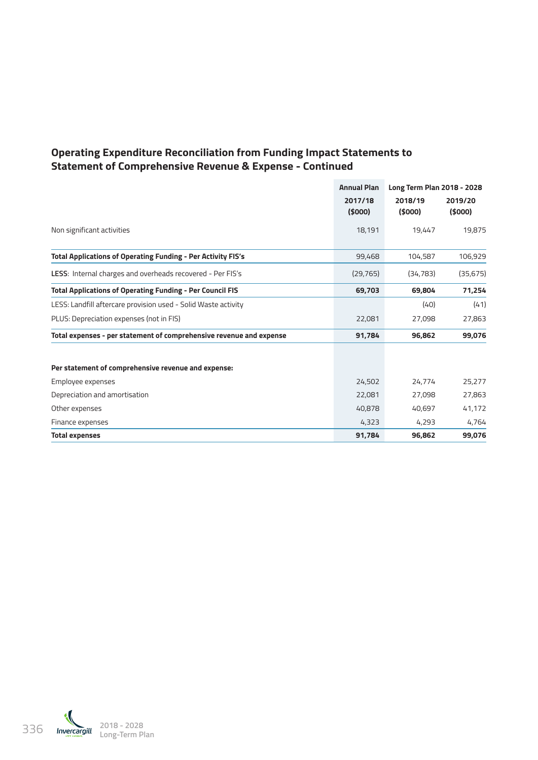### **Operating Expenditure Reconciliation from Funding Impact Statements to Statement of Comprehensive Revenue & Expense - Continued**

|                                                                     | <b>Annual Plan</b> |                    | Long Term Plan 2018 - 2028 |  |
|---------------------------------------------------------------------|--------------------|--------------------|----------------------------|--|
|                                                                     | 2017/18<br>(\$000) | 2018/19<br>(\$000) | 2019/20<br>(\$000)         |  |
| Non significant activities                                          | 18,191             | 19,447             | 19,875                     |  |
| <b>Total Applications of Operating Funding - Per Activity FIS's</b> | 99,468             | 104,587            | 106,929                    |  |
| LESS: Internal charges and overheads recovered - Per FIS's          | (29, 765)          | (34, 783)          | (35, 675)                  |  |
| <b>Total Applications of Operating Funding - Per Council FIS</b>    | 69,703             | 69,804             | 71,254                     |  |
| LESS: Landfill aftercare provision used - Solid Waste activity      |                    | (40)               | (41)                       |  |
| PLUS: Depreciation expenses (not in FIS)                            | 22,081             | 27,098             | 27,863                     |  |
| Total expenses - per statement of comprehensive revenue and expense | 91,784             | 96,862             | 99,076                     |  |
| Per statement of comprehensive revenue and expense:                 |                    |                    |                            |  |
| Employee expenses                                                   | 24,502             | 24,774             | 25,277                     |  |
| Depreciation and amortisation                                       | 22,081             | 27,098             | 27,863                     |  |
| Other expenses                                                      | 40,878             | 40,697             | 41,172                     |  |
| Finance expenses                                                    | 4,323              | 4,293              | 4,764                      |  |
| <b>Total expenses</b>                                               | 91,784             | 96,862             | 99,076                     |  |

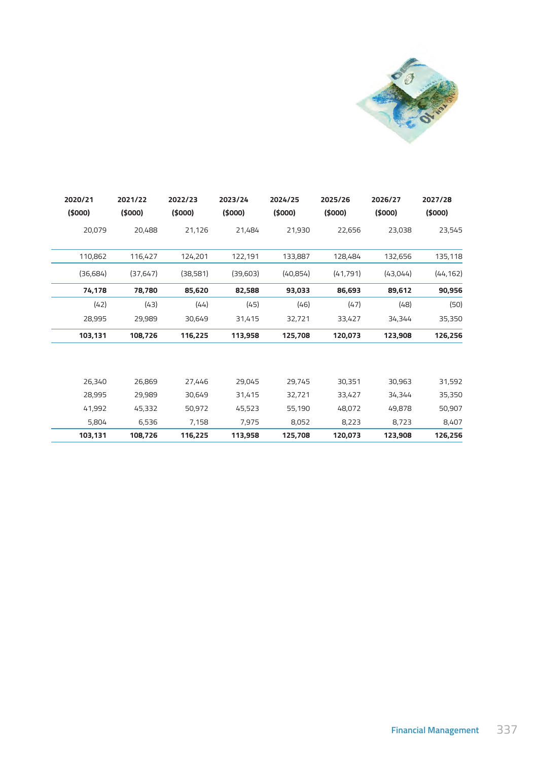

| 2027/28<br>(\$000) | 2026/27<br>(\$000) | 2025/26<br>(\$000) | 2024/25<br>(\$000) | 2023/24<br>(\$000) | 2022/23<br>(\$000) | 2021/22<br>(\$000) | 2020/21<br>(\$000) |
|--------------------|--------------------|--------------------|--------------------|--------------------|--------------------|--------------------|--------------------|
| 23,545             | 23,038             | 22,656             | 21,930             | 21,484             | 21,126             | 20,488             | 20,079             |
| 135,118            | 132,656            | 128,484            | 133,887            | 122,191            | 124,201            | 116,427            | 110,862            |
| (44, 162)          | (43,044)           | (41, 791)          | (40,854)           | (39, 603)          | (38, 581)          | (37, 647)          | (36,684)           |
| 90,956             | 89,612             | 86,693             | 93,033             | 82,588             | 85,620             | 78,780             | 74,178             |
| (50)               | (48)               | (47)               | (46)               | (45)               | (44)               | (43)               | (42)               |
| 35,350             | 34,344             | 33,427             | 32,721             | 31,415             | 30,649             | 29,989             | 28,995             |
| 126,256            | 123,908            | 120,073            | 125,708            | 113,958            | 116,225            | 108,726            | 103,131            |
|                    |                    |                    |                    |                    |                    |                    |                    |
| 31,592             | 30,963             | 30,351             | 29,745             | 29,045             | 27,446             | 26,869             | 26,340             |
| 35,350             | 34,344             | 33,427             | 32,721             | 31,415             | 30,649             | 29,989             | 28,995             |
| 50,907             | 49,878             | 48,072             | 55,190             | 45,523             | 50,972             | 45,332             | 41,992             |
| 8,407              | 8,723              | 8,223              | 8,052              | 7,975              | 7,158              | 6,536              | 5,804              |
| 126,256            | 123,908            | 120,073            | 125,708            | 113,958            | 116,225            | 108,726            | 103,131            |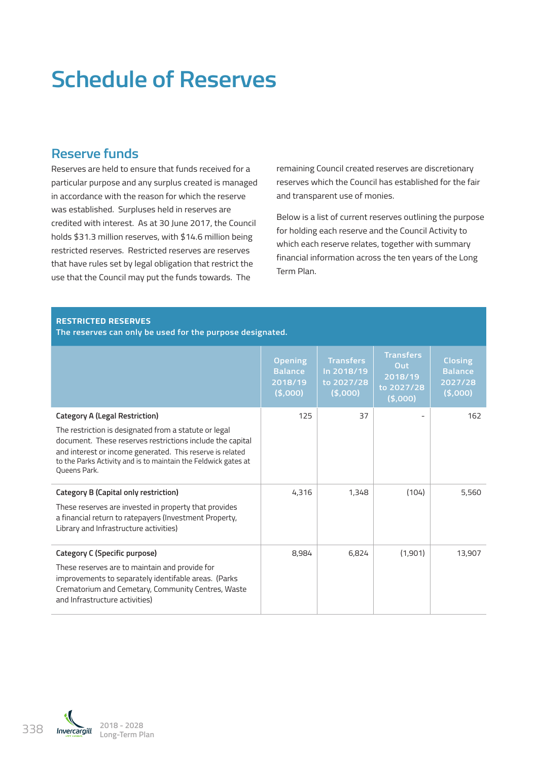# **Schedule of Reserves**

# **Reserve funds**

Reserves are held to ensure that funds received for a particular purpose and any surplus created is managed in accordance with the reason for which the reserve was established. Surpluses held in reserves are credited with interest. As at 30 June 2017, the Council holds \$31.3 million reserves, with \$14.6 million being restricted reserves. Restricted reserves are reserves that have rules set by legal obligation that restrict the use that the Council may put the funds towards. The

remaining Council created reserves are discretionary reserves which the Council has established for the fair and transparent use of monies.

Below is a list of current reserves outlining the purpose for holding each reserve and the Council Activity to which each reserve relates, together with summary financial information across the ten years of the Long Term Plan.

#### **RESTRICTED RESERVES**

**The reserves can only be used for the purpose designated.**

|                                                                                                                                                                                                                                                                                                            | <b>Opening</b><br><b>Balance</b><br>2018/19<br>( \$,000) | <b>Transfers</b><br>In 2018/19<br>to 2027/28<br>(5,000) | <b>Transfers</b><br>Out<br>2018/19<br>to 2027/28<br>(\$,000) | <b>Closing</b><br><b>Balance</b><br>2027/28<br>( \$,000) |
|------------------------------------------------------------------------------------------------------------------------------------------------------------------------------------------------------------------------------------------------------------------------------------------------------------|----------------------------------------------------------|---------------------------------------------------------|--------------------------------------------------------------|----------------------------------------------------------|
| <b>Category A (Legal Restriction)</b><br>The restriction is designated from a statute or legal<br>document. These reserves restrictions include the capital<br>and interest or income generated. This reserve is related<br>to the Parks Activity and is to maintain the Feldwick gates at<br>Oueens Park. | 125                                                      | 37                                                      |                                                              | 162                                                      |
| <b>Category B (Capital only restriction)</b><br>These reserves are invested in property that provides<br>a financial return to ratepayers (Investment Property,<br>Library and Infrastructure activities)                                                                                                  | 4,316                                                    | 1,348                                                   | (104)                                                        | 5,560                                                    |
| Category C (Specific purpose)<br>These reserves are to maintain and provide for<br>improvements to separately identifable areas. (Parks<br>Crematorium and Cemetary, Community Centres, Waste<br>and Infrastructure activities)                                                                            | 8,984                                                    | 6,824                                                   | (1,901)                                                      | 13,907                                                   |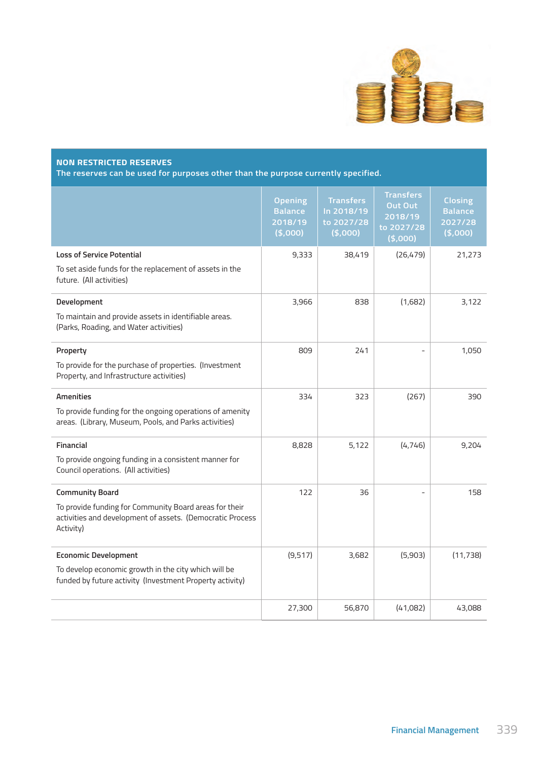

#### **NON RESTRICTED RESERVES**

**The reserves can be used for purposes other than the purpose currently specified.**

|                                                                                                                                  | <b>Opening</b><br><b>Balance</b><br>2018/19<br>( \$,000) | <b>Transfers</b><br>In 2018/19<br>to 2027/28<br>( \$,000) | <b>Transfers</b><br>Out Out<br>2018/19<br>to 2027/28<br>( \$,000) | <b>Closing</b><br><b>Balance</b><br>2027/28<br>( \$,000) |
|----------------------------------------------------------------------------------------------------------------------------------|----------------------------------------------------------|-----------------------------------------------------------|-------------------------------------------------------------------|----------------------------------------------------------|
| <b>Loss of Service Potential</b>                                                                                                 | 9,333                                                    | 38,419                                                    | (26, 479)                                                         | 21,273                                                   |
| To set aside funds for the replacement of assets in the<br>future. (All activities)                                              |                                                          |                                                           |                                                                   |                                                          |
| Development                                                                                                                      | 3,966                                                    | 838                                                       | (1,682)                                                           | 3,122                                                    |
| To maintain and provide assets in identifiable areas.<br>(Parks, Roading, and Water activities)                                  |                                                          |                                                           |                                                                   |                                                          |
| Property                                                                                                                         | 809                                                      | 241                                                       |                                                                   | 1,050                                                    |
| To provide for the purchase of properties. (Investment<br>Property, and Infrastructure activities)                               |                                                          |                                                           |                                                                   |                                                          |
| <b>Amenities</b>                                                                                                                 | 334                                                      | 323                                                       | (267)                                                             | 390                                                      |
| To provide funding for the ongoing operations of amenity<br>areas. (Library, Museum, Pools, and Parks activities)                |                                                          |                                                           |                                                                   |                                                          |
| Financial                                                                                                                        | 8,828                                                    | 5,122                                                     | (4, 746)                                                          | 9,204                                                    |
| To provide ongoing funding in a consistent manner for<br>Council operations. (All activities)                                    |                                                          |                                                           |                                                                   |                                                          |
| <b>Community Board</b>                                                                                                           | 122                                                      | 36                                                        |                                                                   | 158                                                      |
| To provide funding for Community Board areas for their<br>activities and development of assets. (Democratic Process<br>Activity) |                                                          |                                                           |                                                                   |                                                          |
| <b>Economic Development</b>                                                                                                      | (9, 517)                                                 | 3,682                                                     | (5,903)                                                           | (11, 738)                                                |
| To develop economic growth in the city which will be<br>funded by future activity (Investment Property activity)                 |                                                          |                                                           |                                                                   |                                                          |
|                                                                                                                                  | 27,300                                                   | 56,870                                                    | (41,082)                                                          | 43,088                                                   |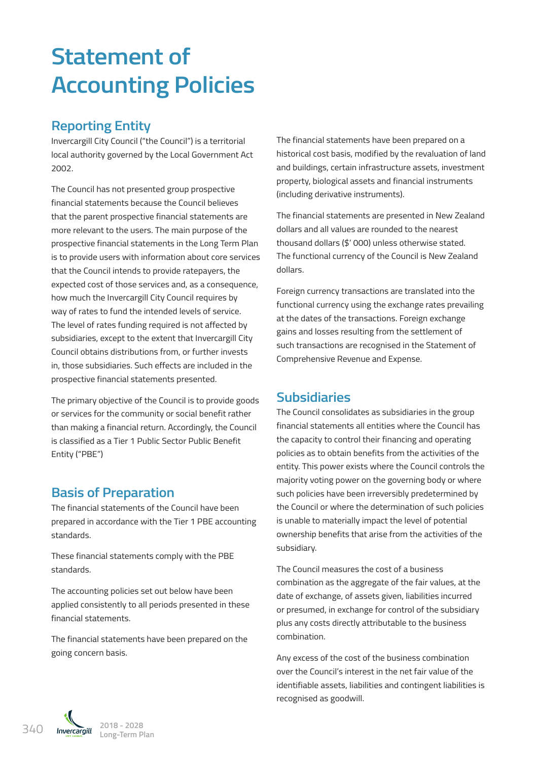# **Statement of Accounting Policies**

# **Reporting Entity**

Invercargill City Council ("the Council") is a territorial local authority governed by the Local Government Act 2002.

The Council has not presented group prospective financial statements because the Council believes that the parent prospective financial statements are more relevant to the users. The main purpose of the prospective financial statements in the Long Term Plan is to provide users with information about core services that the Council intends to provide ratepayers, the expected cost of those services and, as a consequence, how much the Invercargill City Council requires by way of rates to fund the intended levels of service. The level of rates funding required is not affected by subsidiaries, except to the extent that Invercargill City Council obtains distributions from, or further invests in, those subsidiaries. Such effects are included in the prospective financial statements presented.

The primary objective of the Council is to provide goods or services for the community or social benefit rather than making a financial return. Accordingly, the Council is classified as a Tier 1 Public Sector Public Benefit Entity ("PBE")

# **Basis of Preparation**

The financial statements of the Council have been prepared in accordance with the Tier 1 PBE accounting standards.

These financial statements comply with the PBE standards.

The accounting policies set out below have been applied consistently to all periods presented in these financial statements.

The financial statements have been prepared on the going concern basis.

The financial statements have been prepared on a historical cost basis, modified by the revaluation of land and buildings, certain infrastructure assets, investment property, biological assets and financial instruments (including derivative instruments).

The financial statements are presented in New Zealand dollars and all values are rounded to the nearest thousand dollars (\$' 000) unless otherwise stated. The functional currency of the Council is New Zealand dollars.

Foreign currency transactions are translated into the functional currency using the exchange rates prevailing at the dates of the transactions. Foreign exchange gains and losses resulting from the settlement of such transactions are recognised in the Statement of Comprehensive Revenue and Expense.

# **Subsidiaries**

The Council consolidates as subsidiaries in the group financial statements all entities where the Council has the capacity to control their financing and operating policies as to obtain benefits from the activities of the entity. This power exists where the Council controls the majority voting power on the governing body or where such policies have been irreversibly predetermined by the Council or where the determination of such policies is unable to materially impact the level of potential ownership benefits that arise from the activities of the subsidiary.

The Council measures the cost of a business combination as the aggregate of the fair values, at the date of exchange, of assets given, liabilities incurred or presumed, in exchange for control of the subsidiary plus any costs directly attributable to the business combination.

Any excess of the cost of the business combination over the Council's interest in the net fair value of the identifiable assets, liabilities and contingent liabilities is recognised as goodwill.

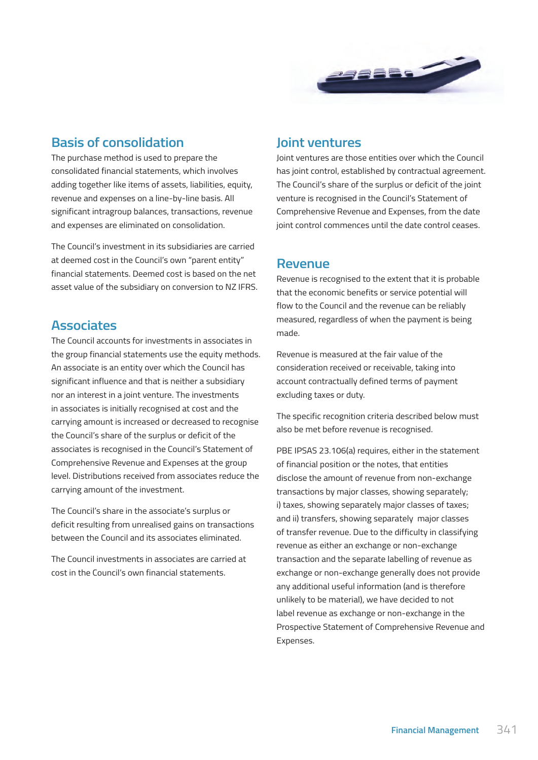

# **Basis of consolidation**

The purchase method is used to prepare the consolidated financial statements, which involves adding together like items of assets, liabilities, equity, revenue and expenses on a line-by-line basis. All significant intragroup balances, transactions, revenue and expenses are eliminated on consolidation.

The Council's investment in its subsidiaries are carried at deemed cost in the Council's own "parent entity" financial statements. Deemed cost is based on the net asset value of the subsidiary on conversion to NZ IFRS.

## **Associates**

The Council accounts for investments in associates in the group financial statements use the equity methods. An associate is an entity over which the Council has significant influence and that is neither a subsidiary nor an interest in a joint venture. The investments in associates is initially recognised at cost and the carrying amount is increased or decreased to recognise the Council's share of the surplus or deficit of the associates is recognised in the Council's Statement of Comprehensive Revenue and Expenses at the group level. Distributions received from associates reduce the carrying amount of the investment.

The Council's share in the associate's surplus or deficit resulting from unrealised gains on transactions between the Council and its associates eliminated.

The Council investments in associates are carried at cost in the Council's own financial statements.

### **Joint ventures**

Joint ventures are those entities over which the Council has joint control, established by contractual agreement. The Council's share of the surplus or deficit of the joint venture is recognised in the Council's Statement of Comprehensive Revenue and Expenses, from the date joint control commences until the date control ceases.

### **Revenue**

Revenue is recognised to the extent that it is probable that the economic benefits or service potential will flow to the Council and the revenue can be reliably measured, regardless of when the payment is being made.

Revenue is measured at the fair value of the consideration received or receivable, taking into account contractually defined terms of payment excluding taxes or duty.

The specific recognition criteria described below must also be met before revenue is recognised.

PBE IPSAS 23.106(a) requires, either in the statement of financial position or the notes, that entities disclose the amount of revenue from non-exchange transactions by major classes, showing separately; i) taxes, showing separately major classes of taxes; and ii) transfers, showing separately major classes of transfer revenue. Due to the difficulty in classifying revenue as either an exchange or non-exchange transaction and the separate labelling of revenue as exchange or non-exchange generally does not provide any additional useful information (and is therefore unlikely to be material), we have decided to not label revenue as exchange or non-exchange in the Prospective Statement of Comprehensive Revenue and Expenses.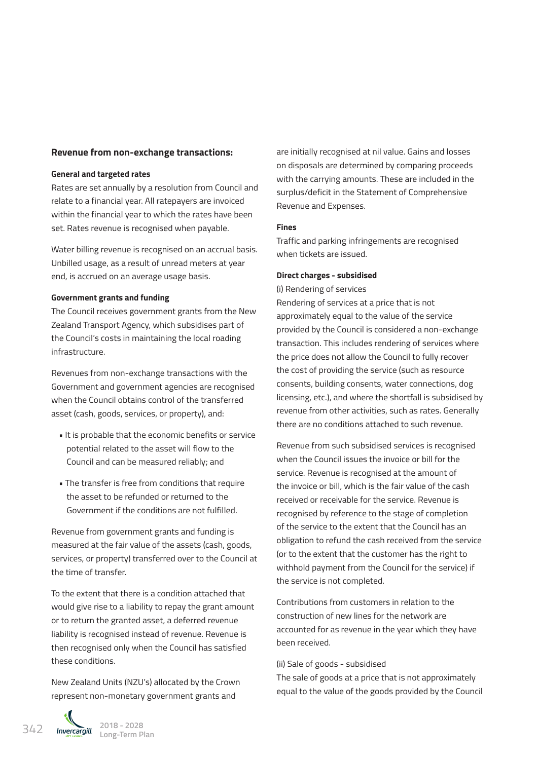#### **Revenue from non-exchange transactions:**

#### **General and targeted rates**

Rates are set annually by a resolution from Council and relate to a financial year. All ratepayers are invoiced within the financial year to which the rates have been set. Rates revenue is recognised when payable.

Water billing revenue is recognised on an accrual basis. Unbilled usage, as a result of unread meters at year end, is accrued on an average usage basis.

#### **Government grants and funding**

The Council receives government grants from the New Zealand Transport Agency, which subsidises part of the Council's costs in maintaining the local roading infrastructure.

Revenues from non-exchange transactions with the Government and government agencies are recognised when the Council obtains control of the transferred asset (cash, goods, services, or property), and:

- It is probable that the economic benefits or service potential related to the asset will flow to the Council and can be measured reliably; and
- The transfer is free from conditions that require the asset to be refunded or returned to the Government if the conditions are not fulfilled.

Revenue from government grants and funding is measured at the fair value of the assets (cash, goods, services, or property) transferred over to the Council at the time of transfer.

To the extent that there is a condition attached that would give rise to a liability to repay the grant amount or to return the granted asset, a deferred revenue liability is recognised instead of revenue. Revenue is then recognised only when the Council has satisfied these conditions.

New Zealand Units (NZU's) allocated by the Crown represent non-monetary government grants and

are initially recognised at nil value. Gains and losses on disposals are determined by comparing proceeds with the carrying amounts. These are included in the surplus/deficit in the Statement of Comprehensive Revenue and Expenses.

#### **Fines**

Traffic and parking infringements are recognised when tickets are issued.

#### **Direct charges - subsidised**

(i) Rendering of services Rendering of services at a price that is not approximately equal to the value of the service provided by the Council is considered a non-exchange transaction. This includes rendering of services where the price does not allow the Council to fully recover the cost of providing the service (such as resource consents, building consents, water connections, dog licensing, etc.), and where the shortfall is subsidised by revenue from other activities, such as rates. Generally there are no conditions attached to such revenue.

Revenue from such subsidised services is recognised when the Council issues the invoice or bill for the service. Revenue is recognised at the amount of the invoice or bill, which is the fair value of the cash received or receivable for the service. Revenue is recognised by reference to the stage of completion of the service to the extent that the Council has an obligation to refund the cash received from the service (or to the extent that the customer has the right to withhold payment from the Council for the service) if the service is not completed.

Contributions from customers in relation to the construction of new lines for the network are accounted for as revenue in the year which they have been received.

(ii) Sale of goods - subsidised

The sale of goods at a price that is not approximately equal to the value of the goods provided by the Council

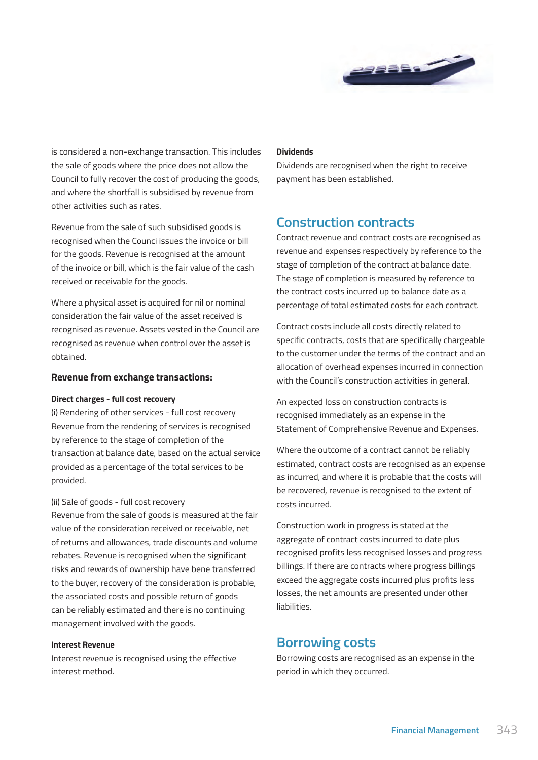

is considered a non-exchange transaction. This includes the sale of goods where the price does not allow the Council to fully recover the cost of producing the goods, and where the shortfall is subsidised by revenue from other activities such as rates.

Revenue from the sale of such subsidised goods is recognised when the Counci issues the invoice or bill for the goods. Revenue is recognised at the amount of the invoice or bill, which is the fair value of the cash received or receivable for the goods.

Where a physical asset is acquired for nil or nominal consideration the fair value of the asset received is recognised as revenue. Assets vested in the Council are recognised as revenue when control over the asset is obtained.

#### **Revenue from exchange transactions:**

#### **Direct charges - full cost recovery**

(i) Rendering of other services - full cost recovery Revenue from the rendering of services is recognised by reference to the stage of completion of the transaction at balance date, based on the actual service provided as a percentage of the total services to be provided.

#### (ii) Sale of goods - full cost recovery

Revenue from the sale of goods is measured at the fair value of the consideration received or receivable, net of returns and allowances, trade discounts and volume rebates. Revenue is recognised when the significant risks and rewards of ownership have bene transferred to the buyer, recovery of the consideration is probable, the associated costs and possible return of goods can be reliably estimated and there is no continuing management involved with the goods.

#### **Interest Revenue**

Interest revenue is recognised using the effective interest method.

#### **Dividends**

Dividends are recognised when the right to receive payment has been established.

### **Construction contracts**

Contract revenue and contract costs are recognised as revenue and expenses respectively by reference to the stage of completion of the contract at balance date. The stage of completion is measured by reference to the contract costs incurred up to balance date as a percentage of total estimated costs for each contract.

Contract costs include all costs directly related to specific contracts, costs that are specifically chargeable to the customer under the terms of the contract and an allocation of overhead expenses incurred in connection with the Council's construction activities in general.

An expected loss on construction contracts is recognised immediately as an expense in the Statement of Comprehensive Revenue and Expenses.

Where the outcome of a contract cannot be reliably estimated, contract costs are recognised as an expense as incurred, and where it is probable that the costs will be recovered, revenue is recognised to the extent of costs incurred.

Construction work in progress is stated at the aggregate of contract costs incurred to date plus recognised profits less recognised losses and progress billings. If there are contracts where progress billings exceed the aggregate costs incurred plus profits less losses, the net amounts are presented under other liabilities.

### **Borrowing costs**

Borrowing costs are recognised as an expense in the period in which they occurred.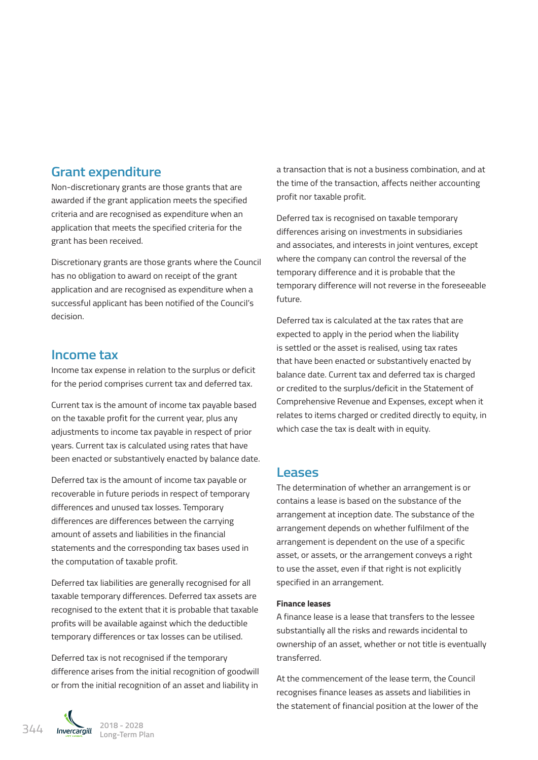# **Grant expenditure**

Non-discretionary grants are those grants that are awarded if the grant application meets the specified criteria and are recognised as expenditure when an application that meets the specified criteria for the grant has been received.

Discretionary grants are those grants where the Council has no obligation to award on receipt of the grant application and are recognised as expenditure when a successful applicant has been notified of the Council's decision.

### **Income tax**

Income tax expense in relation to the surplus or deficit for the period comprises current tax and deferred tax.

Current tax is the amount of income tax payable based on the taxable profit for the current year, plus any adjustments to income tax payable in respect of prior years. Current tax is calculated using rates that have been enacted or substantively enacted by balance date.

Deferred tax is the amount of income tax payable or recoverable in future periods in respect of temporary differences and unused tax losses. Temporary differences are differences between the carrying amount of assets and liabilities in the financial statements and the corresponding tax bases used in the computation of taxable profit.

Deferred tax liabilities are generally recognised for all taxable temporary differences. Deferred tax assets are recognised to the extent that it is probable that taxable profits will be available against which the deductible temporary differences or tax losses can be utilised.

Deferred tax is not recognised if the temporary difference arises from the initial recognition of goodwill or from the initial recognition of an asset and liability in

a transaction that is not a business combination, and at the time of the transaction, affects neither accounting profit nor taxable profit.

Deferred tax is recognised on taxable temporary differences arising on investments in subsidiaries and associates, and interests in joint ventures, except where the company can control the reversal of the temporary difference and it is probable that the temporary difference will not reverse in the foreseeable future.

Deferred tax is calculated at the tax rates that are expected to apply in the period when the liability is settled or the asset is realised, using tax rates that have been enacted or substantively enacted by balance date. Current tax and deferred tax is charged or credited to the surplus/deficit in the Statement of Comprehensive Revenue and Expenses, except when it relates to items charged or credited directly to equity, in which case the tax is dealt with in equity.

### **Leases**

The determination of whether an arrangement is or contains a lease is based on the substance of the arrangement at inception date. The substance of the arrangement depends on whether fulfilment of the arrangement is dependent on the use of a specific asset, or assets, or the arrangement conveys a right to use the asset, even if that right is not explicitly specified in an arrangement.

#### **Finance leases**

A finance lease is a lease that transfers to the lessee substantially all the risks and rewards incidental to ownership of an asset, whether or not title is eventually transferred.

At the commencement of the lease term, the Council recognises finance leases as assets and liabilities in the statement of financial position at the lower of the

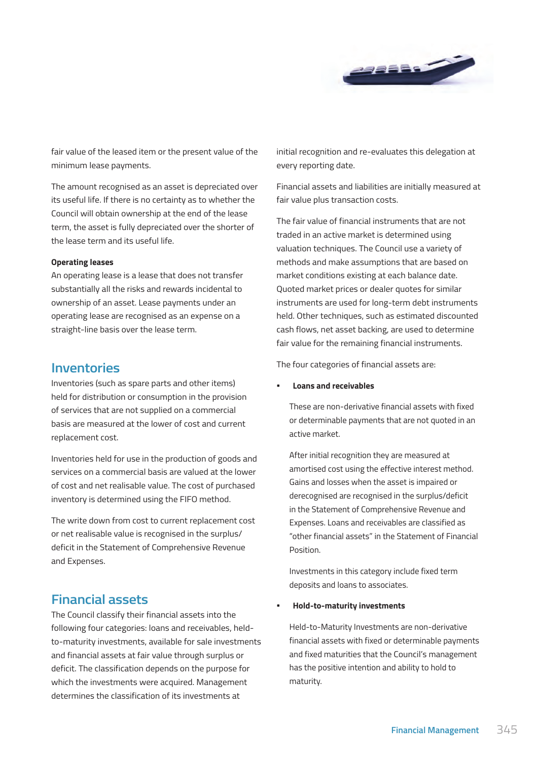

fair value of the leased item or the present value of the minimum lease payments.

The amount recognised as an asset is depreciated over its useful life. If there is no certainty as to whether the Council will obtain ownership at the end of the lease term, the asset is fully depreciated over the shorter of the lease term and its useful life.

#### **Operating leases**

An operating lease is a lease that does not transfer substantially all the risks and rewards incidental to ownership of an asset. Lease payments under an operating lease are recognised as an expense on a straight-line basis over the lease term.

### **Inventories**

Inventories (such as spare parts and other items) held for distribution or consumption in the provision of services that are not supplied on a commercial basis are measured at the lower of cost and current replacement cost.

Inventories held for use in the production of goods and services on a commercial basis are valued at the lower of cost and net realisable value. The cost of purchased inventory is determined using the FIFO method.

The write down from cost to current replacement cost or net realisable value is recognised in the surplus/ deficit in the Statement of Comprehensive Revenue and Expenses.

### **Financial assets**

The Council classify their financial assets into the following four categories: loans and receivables, heldto-maturity investments, available for sale investments and financial assets at fair value through surplus or deficit. The classification depends on the purpose for which the investments were acquired. Management determines the classification of its investments at

initial recognition and re-evaluates this delegation at every reporting date.

Financial assets and liabilities are initially measured at fair value plus transaction costs.

The fair value of financial instruments that are not traded in an active market is determined using valuation techniques. The Council use a variety of methods and make assumptions that are based on market conditions existing at each balance date. Quoted market prices or dealer quotes for similar instruments are used for long-term debt instruments held. Other techniques, such as estimated discounted cash flows, net asset backing, are used to determine fair value for the remaining financial instruments.

The four categories of financial assets are:

#### **• Loans and receivables**

These are non-derivative financial assets with fixed or determinable payments that are not quoted in an active market.

After initial recognition they are measured at amortised cost using the effective interest method. Gains and losses when the asset is impaired or derecognised are recognised in the surplus/deficit in the Statement of Comprehensive Revenue and Expenses. Loans and receivables are classified as "other financial assets" in the Statement of Financial Position.

Investments in this category include fixed term deposits and loans to associates.

#### **• Hold-to-maturity investments**

Held-to-Maturity Investments are non-derivative financial assets with fixed or determinable payments and fixed maturities that the Council's management has the positive intention and ability to hold to maturity.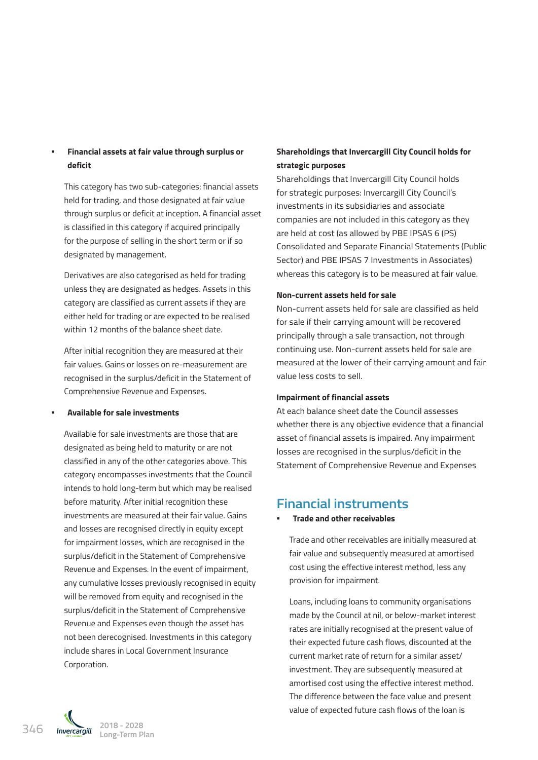### **• Financial assets at fair value through surplus or deficit**

This category has two sub-categories: financial assets held for trading, and those designated at fair value through surplus or deficit at inception. A financial asset is classified in this category if acquired principally for the purpose of selling in the short term or if so designated by management.

Derivatives are also categorised as held for trading unless they are designated as hedges. Assets in this category are classified as current assets if they are either held for trading or are expected to be realised within 12 months of the balance sheet date.

After initial recognition they are measured at their fair values. Gains or losses on re-measurement are recognised in the surplus/deficit in the Statement of Comprehensive Revenue and Expenses.

#### **• Available for sale investments**

Available for sale investments are those that are designated as being held to maturity or are not classified in any of the other categories above. This category encompasses investments that the Council intends to hold long-term but which may be realised before maturity. After initial recognition these investments are measured at their fair value. Gains and losses are recognised directly in equity except for impairment losses, which are recognised in the surplus/deficit in the Statement of Comprehensive Revenue and Expenses. In the event of impairment, any cumulative losses previously recognised in equity will be removed from equity and recognised in the surplus/deficit in the Statement of Comprehensive Revenue and Expenses even though the asset has not been derecognised. Investments in this category include shares in Local Government Insurance Corporation.

### **Shareholdings that Invercargill City Council holds for strategic purposes**

Shareholdings that Invercargill City Council holds for strategic purposes: Invercargill City Council's investments in its subsidiaries and associate companies are not included in this category as they are held at cost (as allowed by PBE IPSAS 6 (PS) Consolidated and Separate Financial Statements (Public Sector) and PBE IPSAS 7 Investments in Associates) whereas this category is to be measured at fair value.

#### **Non-current assets held for sale**

Non-current assets held for sale are classified as held for sale if their carrying amount will be recovered principally through a sale transaction, not through continuing use. Non-current assets held for sale are measured at the lower of their carrying amount and fair value less costs to sell.

#### **Impairment of financial assets**

At each balance sheet date the Council assesses whether there is any objective evidence that a financial asset of financial assets is impaired. Any impairment losses are recognised in the surplus/deficit in the Statement of Comprehensive Revenue and Expenses

### **Financial instruments**

**• Trade and other receivables**

Trade and other receivables are initially measured at fair value and subsequently measured at amortised cost using the effective interest method, less any provision for impairment.

Loans, including loans to community organisations made by the Council at nil, or below-market interest rates are initially recognised at the present value of their expected future cash flows, discounted at the current market rate of return for a similar asset/ investment. They are subsequently measured at amortised cost using the effective interest method. The difference between the face value and present value of expected future cash flows of the loan is

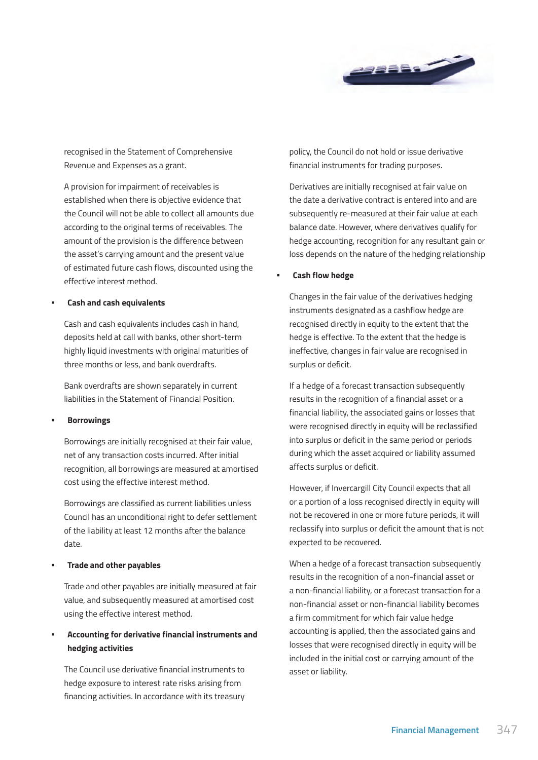

recognised in the Statement of Comprehensive Revenue and Expenses as a grant.

A provision for impairment of receivables is established when there is objective evidence that the Council will not be able to collect all amounts due according to the original terms of receivables. The amount of the provision is the difference between the asset's carrying amount and the present value of estimated future cash flows, discounted using the effective interest method.

#### **• Cash and cash equivalents**

Cash and cash equivalents includes cash in hand, deposits held at call with banks, other short-term highly liquid investments with original maturities of three months or less, and bank overdrafts.

Bank overdrafts are shown separately in current liabilities in the Statement of Financial Position.

#### **• Borrowings**

Borrowings are initially recognised at their fair value, net of any transaction costs incurred. After initial recognition, all borrowings are measured at amortised cost using the effective interest method.

Borrowings are classified as current liabilities unless Council has an unconditional right to defer settlement of the liability at least 12 months after the balance date.

#### **• Trade and other payables**

Trade and other payables are initially measured at fair value, and subsequently measured at amortised cost using the effective interest method.

#### **• Accounting for derivative financial instruments and hedging activities**

The Council use derivative financial instruments to hedge exposure to interest rate risks arising from financing activities. In accordance with its treasury

policy, the Council do not hold or issue derivative financial instruments for trading purposes.

Derivatives are initially recognised at fair value on the date a derivative contract is entered into and are subsequently re-measured at their fair value at each balance date. However, where derivatives qualify for hedge accounting, recognition for any resultant gain or loss depends on the nature of the hedging relationship

**• Cash flow hedge**

Changes in the fair value of the derivatives hedging instruments designated as a cashflow hedge are recognised directly in equity to the extent that the hedge is effective. To the extent that the hedge is ineffective, changes in fair value are recognised in surplus or deficit.

If a hedge of a forecast transaction subsequently results in the recognition of a financial asset or a financial liability, the associated gains or losses that were recognised directly in equity will be reclassified into surplus or deficit in the same period or periods during which the asset acquired or liability assumed affects surplus or deficit.

However, if Invercargill City Council expects that all or a portion of a loss recognised directly in equity will not be recovered in one or more future periods, it will reclassify into surplus or deficit the amount that is not expected to be recovered.

When a hedge of a forecast transaction subsequently results in the recognition of a non-financial asset or a non-financial liability, or a forecast transaction for a non-financial asset or non-financial liability becomes a firm commitment for which fair value hedge accounting is applied, then the associated gains and losses that were recognised directly in equity will be included in the initial cost or carrying amount of the asset or liability.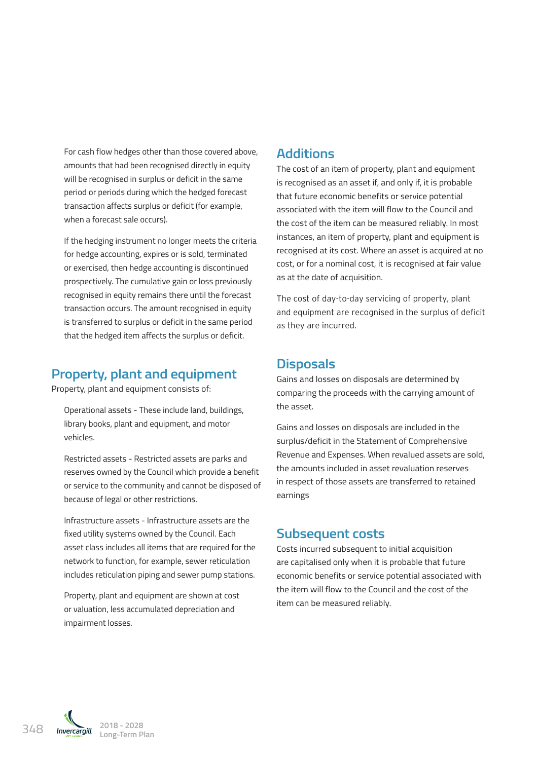For cash flow hedges other than those covered above, amounts that had been recognised directly in equity will be recognised in surplus or deficit in the same period or periods during which the hedged forecast transaction affects surplus or deficit (for example, when a forecast sale occurs).

If the hedging instrument no longer meets the criteria for hedge accounting, expires or is sold, terminated or exercised, then hedge accounting is discontinued prospectively. The cumulative gain or loss previously recognised in equity remains there until the forecast transaction occurs. The amount recognised in equity is transferred to surplus or deficit in the same period that the hedged item affects the surplus or deficit.

## **Property, plant and equipment**

Property, plant and equipment consists of:

Operational assets - These include land, buildings, library books, plant and equipment, and motor vehicles.

Restricted assets - Restricted assets are parks and reserves owned by the Council which provide a benefit or service to the community and cannot be disposed of because of legal or other restrictions.

Infrastructure assets - Infrastructure assets are the fixed utility systems owned by the Council. Each asset class includes all items that are required for the network to function, for example, sewer reticulation includes reticulation piping and sewer pump stations.

Property, plant and equipment are shown at cost or valuation, less accumulated depreciation and impairment losses.

# **Additions**

The cost of an item of property, plant and equipment is recognised as an asset if, and only if, it is probable that future economic benefits or service potential associated with the item will flow to the Council and the cost of the item can be measured reliably. In most instances, an item of property, plant and equipment is recognised at its cost. Where an asset is acquired at no cost, or for a nominal cost, it is recognised at fair value as at the date of acquisition.

The cost of day-to-day servicing of property, plant and equipment are recognised in the surplus of deficit as they are incurred.

# **Disposals**

Gains and losses on disposals are determined by comparing the proceeds with the carrying amount of the asset.

Gains and losses on disposals are included in the surplus/deficit in the Statement of Comprehensive Revenue and Expenses. When revalued assets are sold, the amounts included in asset revaluation reserves in respect of those assets are transferred to retained earnings

# **Subsequent costs**

Costs incurred subsequent to initial acquisition are capitalised only when it is probable that future economic benefits or service potential associated with the item will flow to the Council and the cost of the item can be measured reliably.

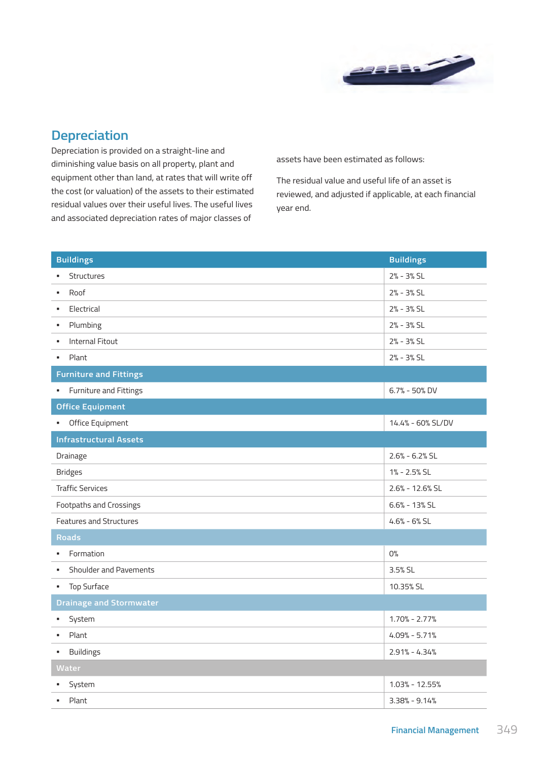

# **Depreciation**

Depreciation is provided on a straight-line and diminishing value basis on all property, plant and equipment other than land, at rates that will write off the cost (or valuation) of the assets to their estimated residual values over their useful lives. The useful lives and associated depreciation rates of major classes of

assets have been estimated as follows:

The residual value and useful life of an asset is reviewed, and adjusted if applicable, at each financial year end.

| <b>Buildings</b>               | <b>Buildings</b>   |
|--------------------------------|--------------------|
| Structures<br>٠                | $2% - 3% SL$       |
| Roof<br>$\blacksquare$         | 2% - 3% SL         |
| Electrical<br>٠                | $2% - 3% SL$       |
| Plumbing<br>٠                  | $2% - 3% SL$       |
| <b>Internal Fitout</b><br>٠    | 2% - 3% SL         |
| Plant<br>٠                     | $2% - 3% SL$       |
| <b>Furniture and Fittings</b>  |                    |
| Furniture and Fittings<br>٠    | $6.7\% - 50\%$ DV  |
| <b>Office Equipment</b>        |                    |
| Office Equipment<br>٠          | 14.4% - 60% SL/DV  |
| <b>Infrastructural Assets</b>  |                    |
| Drainage                       | $2.6\% - 6.2\%$ SL |
| <b>Bridges</b>                 | 1% - 2.5% SL       |
| <b>Traffic Services</b>        | 2.6% - 12.6% SL    |
| Footpaths and Crossings        | $6.6\% - 13\%$ SL  |
| <b>Features and Structures</b> | $4.6% - 6%$ SL     |
| <b>Roads</b>                   |                    |
| Formation<br>٠                 | O%                 |
| Shoulder and Pavements<br>٠    | 3.5% SL            |
| Top Surface<br>٠               | 10.35% SL          |
| <b>Drainage and Stormwater</b> |                    |
| System<br>٠                    | $1.70\% - 2.77\%$  |
| Plant<br>٠                     | $4.09% - 5.71%$    |
| <b>Buildings</b><br>٠          | $2.91\% - 4.34\%$  |
| Water                          |                    |
| System                         | $1.03\% - 12.55\%$ |
| Plant<br>٠                     | $3.38\% - 9.14\%$  |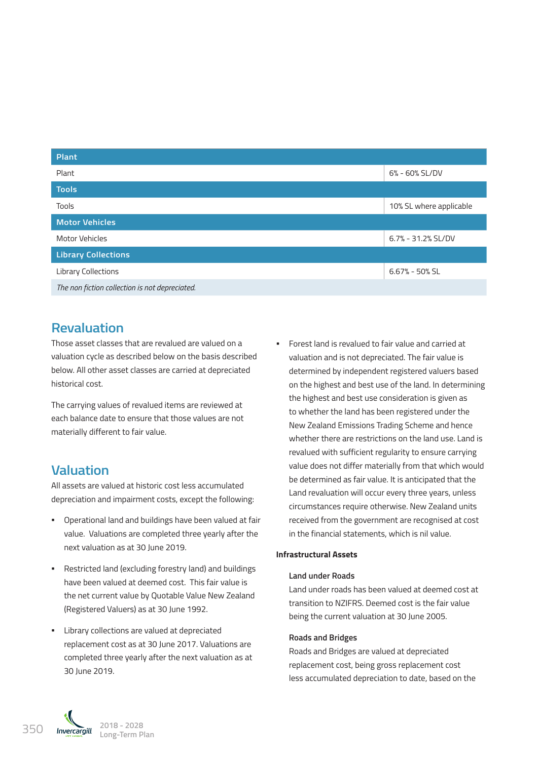| <b>Plant</b>                                   |                         |
|------------------------------------------------|-------------------------|
| Plant                                          | 6% - 60% SL/DV          |
| <b>Tools</b>                                   |                         |
| <b>Tools</b>                                   | 10% SL where applicable |
| <b>Motor Vehicles</b>                          |                         |
| <b>Motor Vehicles</b>                          | 6.7% - 31.2% SL/DV      |
| <b>Library Collections</b>                     |                         |
| <b>Library Collections</b>                     | $6.67\% - 50\%$ SL      |
| The non fiction collection is not depreciated. |                         |

# **Revaluation**

Those asset classes that are revalued are valued on a valuation cycle as described below on the basis described below. All other asset classes are carried at depreciated historical cost.

The carrying values of revalued items are reviewed at each balance date to ensure that those values are not materially different to fair value.

# **Valuation**

All assets are valued at historic cost less accumulated depreciation and impairment costs, except the following:

- **•** Operational land and buildings have been valued at fair value. Valuations are completed three yearly after the next valuation as at 30 June 2019.
- **•** Restricted land (excluding forestry land) and buildings have been valued at deemed cost. This fair value is the net current value by Quotable Value New Zealand (Registered Valuers) as at 30 June 1992.
- **•** Library collections are valued at depreciated replacement cost as at 30 June 2017. Valuations are completed three yearly after the next valuation as at 30 June 2019.

**•** Forest land is revalued to fair value and carried at valuation and is not depreciated. The fair value is determined by independent registered valuers based on the highest and best use of the land. In determining the highest and best use consideration is given as to whether the land has been registered under the New Zealand Emissions Trading Scheme and hence whether there are restrictions on the land use. Land is revalued with sufficient regularity to ensure carrying value does not differ materially from that which would be determined as fair value. It is anticipated that the Land revaluation will occur every three years, unless circumstances require otherwise. New Zealand units received from the government are recognised at cost in the financial statements, which is nil value.

#### **Infrastructural Assets**

#### **Land under Roads**

Land under roads has been valued at deemed cost at transition to NZIFRS. Deemed cost is the fair value being the current valuation at 30 June 2005.

#### **Roads and Bridges**

Roads and Bridges are valued at depreciated replacement cost, being gross replacement cost less accumulated depreciation to date, based on the

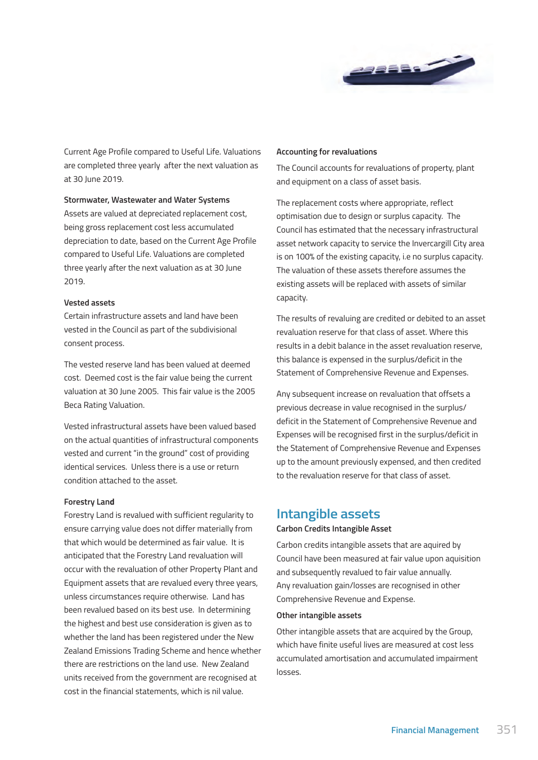

Current Age Profile compared to Useful Life. Valuations are completed three yearly after the next valuation as at 30 June 2019.

#### **Stormwater, Wastewater and Water Systems**

Assets are valued at depreciated replacement cost, being gross replacement cost less accumulated depreciation to date, based on the Current Age Profile compared to Useful Life. Valuations are completed three yearly after the next valuation as at 30 June 2019.

#### **Vested assets**

Certain infrastructure assets and land have been vested in the Council as part of the subdivisional consent process.

The vested reserve land has been valued at deemed cost. Deemed cost is the fair value being the current valuation at 30 June 2005. This fair value is the 2005 Beca Rating Valuation.

Vested infrastructural assets have been valued based on the actual quantities of infrastructural components vested and current "in the ground" cost of providing identical services. Unless there is a use or return condition attached to the asset.

#### **Forestry Land**

Forestry Land is revalued with sufficient regularity to ensure carrying value does not differ materially from that which would be determined as fair value. It is anticipated that the Forestry Land revaluation will occur with the revaluation of other Property Plant and Equipment assets that are revalued every three years, unless circumstances require otherwise. Land has been revalued based on its best use. In determining the highest and best use consideration is given as to whether the land has been registered under the New Zealand Emissions Trading Scheme and hence whether there are restrictions on the land use. New Zealand units received from the government are recognised at cost in the financial statements, which is nil value.

#### **Accounting for revaluations**

The Council accounts for revaluations of property, plant and equipment on a class of asset basis.

The replacement costs where appropriate, reflect optimisation due to design or surplus capacity. The Council has estimated that the necessary infrastructural asset network capacity to service the Invercargill City area is on 100% of the existing capacity, i.e no surplus capacity. The valuation of these assets therefore assumes the existing assets will be replaced with assets of similar capacity.

The results of revaluing are credited or debited to an asset revaluation reserve for that class of asset. Where this results in a debit balance in the asset revaluation reserve, this balance is expensed in the surplus/deficit in the Statement of Comprehensive Revenue and Expenses.

Any subsequent increase on revaluation that offsets a previous decrease in value recognised in the surplus/ deficit in the Statement of Comprehensive Revenue and Expenses will be recognised first in the surplus/deficit in the Statement of Comprehensive Revenue and Expenses up to the amount previously expensed, and then credited to the revaluation reserve for that class of asset.

### **Intangible assets**

#### **Carbon Credits Intangible Asset**

Carbon credits intangible assets that are aquired by Council have been measured at fair value upon aquisition and subsequently revalued to fair value annually. Any revaluation gain/losses are recognised in other Comprehensive Revenue and Expense.

#### **Other intangible assets**

Other intangible assets that are acquired by the Group, which have finite useful lives are measured at cost less accumulated amortisation and accumulated impairment losses.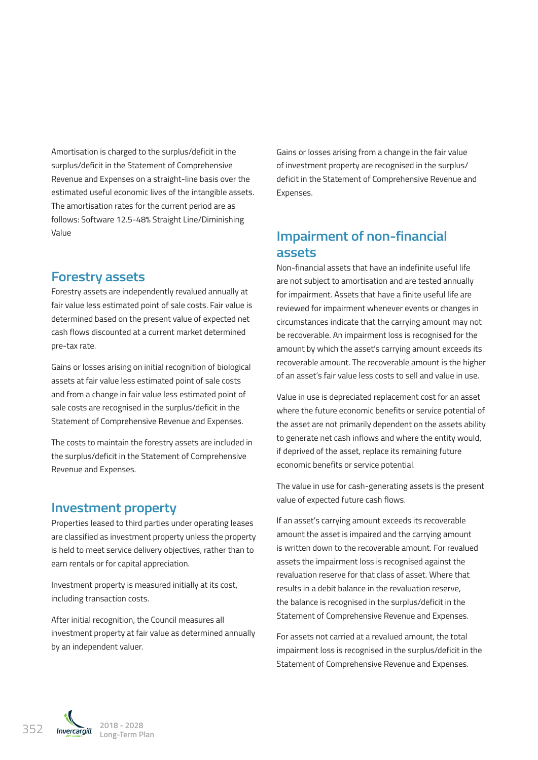Amortisation is charged to the surplus/deficit in the surplus/deficit in the Statement of Comprehensive Revenue and Expenses on a straight-line basis over the estimated useful economic lives of the intangible assets. The amortisation rates for the current period are as follows: Software 12.5-48% Straight Line/Diminishing Value

### **Forestry assets**

Forestry assets are independently revalued annually at fair value less estimated point of sale costs. Fair value is determined based on the present value of expected net cash flows discounted at a current market determined pre-tax rate.

Gains or losses arising on initial recognition of biological assets at fair value less estimated point of sale costs and from a change in fair value less estimated point of sale costs are recognised in the surplus/deficit in the Statement of Comprehensive Revenue and Expenses.

The costs to maintain the forestry assets are included in the surplus/deficit in the Statement of Comprehensive Revenue and Expenses.

### **Investment property**

Properties leased to third parties under operating leases are classified as investment property unless the property is held to meet service delivery objectives, rather than to earn rentals or for capital appreciation.

Investment property is measured initially at its cost, including transaction costs.

After initial recognition, the Council measures all investment property at fair value as determined annually by an independent valuer.

Gains or losses arising from a change in the fair value of investment property are recognised in the surplus/ deficit in the Statement of Comprehensive Revenue and Expenses.

# **Impairment of non-financial assets**

Non-financial assets that have an indefinite useful life are not subject to amortisation and are tested annually for impairment. Assets that have a finite useful life are reviewed for impairment whenever events or changes in circumstances indicate that the carrying amount may not be recoverable. An impairment loss is recognised for the amount by which the asset's carrying amount exceeds its recoverable amount. The recoverable amount is the higher of an asset's fair value less costs to sell and value in use.

Value in use is depreciated replacement cost for an asset where the future economic benefits or service potential of the asset are not primarily dependent on the assets ability to generate net cash inflows and where the entity would, if deprived of the asset, replace its remaining future economic benefits or service potential.

The value in use for cash-generating assets is the present value of expected future cash flows.

If an asset's carrying amount exceeds its recoverable amount the asset is impaired and the carrying amount is written down to the recoverable amount. For revalued assets the impairment loss is recognised against the revaluation reserve for that class of asset. Where that results in a debit balance in the revaluation reserve, the balance is recognised in the surplus/deficit in the Statement of Comprehensive Revenue and Expenses.

For assets not carried at a revalued amount, the total impairment loss is recognised in the surplus/deficit in the Statement of Comprehensive Revenue and Expenses.

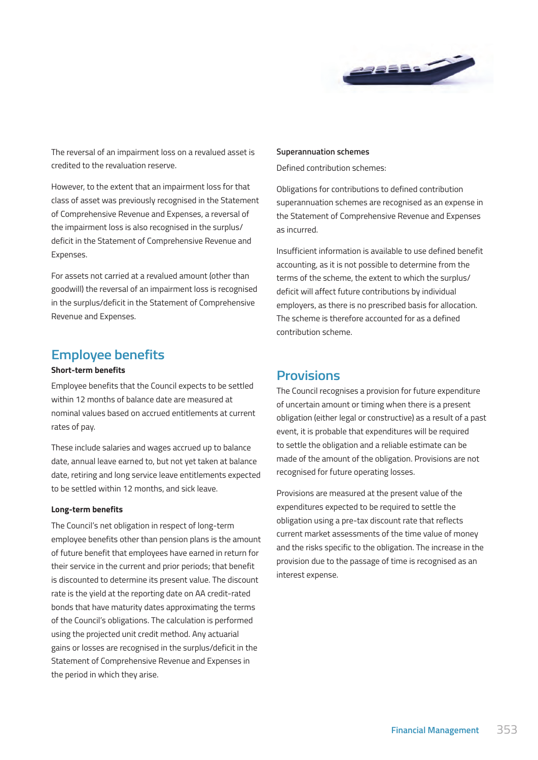

The reversal of an impairment loss on a revalued asset is credited to the revaluation reserve.

However, to the extent that an impairment loss for that class of asset was previously recognised in the Statement of Comprehensive Revenue and Expenses, a reversal of the impairment loss is also recognised in the surplus/ deficit in the Statement of Comprehensive Revenue and Expenses.

For assets not carried at a revalued amount (other than goodwill) the reversal of an impairment loss is recognised in the surplus/deficit in the Statement of Comprehensive Revenue and Expenses.

## **Employee benefits**

#### **Short-term benefits**

Employee benefits that the Council expects to be settled within 12 months of balance date are measured at nominal values based on accrued entitlements at current rates of pay.

These include salaries and wages accrued up to balance date, annual leave earned to, but not yet taken at balance date, retiring and long service leave entitlements expected to be settled within 12 months, and sick leave.

#### **Long-term benefits**

The Council's net obligation in respect of long-term employee benefits other than pension plans is the amount of future benefit that employees have earned in return for their service in the current and prior periods; that benefit is discounted to determine its present value. The discount rate is the yield at the reporting date on AA credit-rated bonds that have maturity dates approximating the terms of the Council's obligations. The calculation is performed using the projected unit credit method. Any actuarial gains or losses are recognised in the surplus/deficit in the Statement of Comprehensive Revenue and Expenses in the period in which they arise.

#### **Superannuation schemes**

Defined contribution schemes:

Obligations for contributions to defined contribution superannuation schemes are recognised as an expense in the Statement of Comprehensive Revenue and Expenses as incurred.

Insufficient information is available to use defined benefit accounting, as it is not possible to determine from the terms of the scheme, the extent to which the surplus/ deficit will affect future contributions by individual employers, as there is no prescribed basis for allocation. The scheme is therefore accounted for as a defined contribution scheme.

### **Provisions**

The Council recognises a provision for future expenditure of uncertain amount or timing when there is a present obligation (either legal or constructive) as a result of a past event, it is probable that expenditures will be required to settle the obligation and a reliable estimate can be made of the amount of the obligation. Provisions are not recognised for future operating losses.

Provisions are measured at the present value of the expenditures expected to be required to settle the obligation using a pre-tax discount rate that reflects current market assessments of the time value of money and the risks specific to the obligation. The increase in the provision due to the passage of time is recognised as an interest expense.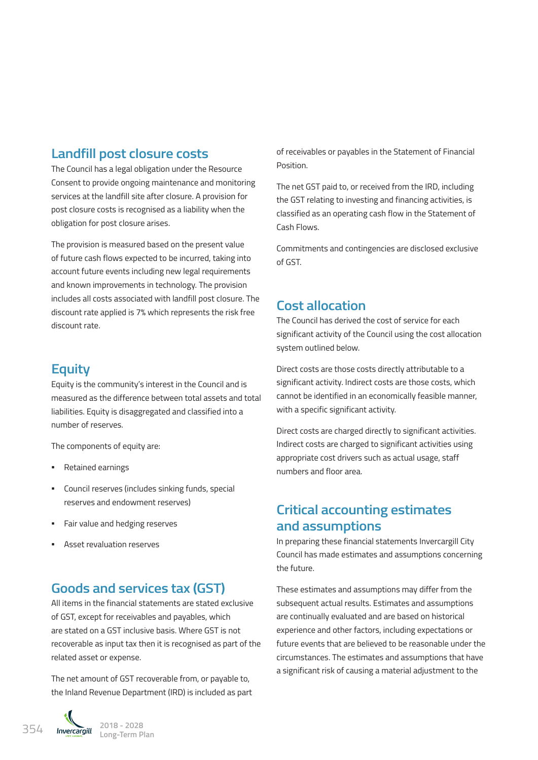# **Landfill post closure costs**

The Council has a legal obligation under the Resource Consent to provide ongoing maintenance and monitoring services at the landfill site after closure. A provision for post closure costs is recognised as a liability when the obligation for post closure arises.

The provision is measured based on the present value of future cash flows expected to be incurred, taking into account future events including new legal requirements and known improvements in technology. The provision includes all costs associated with landfill post closure. The discount rate applied is 7% which represents the risk free discount rate.

## **Equity**

Equity is the community's interest in the Council and is measured as the difference between total assets and total liabilities. Equity is disaggregated and classified into a number of reserves.

The components of equity are:

- **•** Retained earnings
- **•** Council reserves (includes sinking funds, special reserves and endowment reserves)
- **•** Fair value and hedging reserves
- **•** Asset revaluation reserves

# **Goods and services tax (GST)**

All items in the financial statements are stated exclusive of GST, except for receivables and payables, which are stated on a GST inclusive basis. Where GST is not recoverable as input tax then it is recognised as part of the related asset or expense.

The net amount of GST recoverable from, or payable to, the Inland Revenue Department (IRD) is included as part of receivables or payables in the Statement of Financial Position.

The net GST paid to, or received from the IRD, including the GST relating to investing and financing activities, is classified as an operating cash flow in the Statement of Cash Flows.

Commitments and contingencies are disclosed exclusive of GST.

# **Cost allocation**

The Council has derived the cost of service for each significant activity of the Council using the cost allocation system outlined below.

Direct costs are those costs directly attributable to a significant activity. Indirect costs are those costs, which cannot be identified in an economically feasible manner, with a specific significant activity.

Direct costs are charged directly to significant activities. Indirect costs are charged to significant activities using appropriate cost drivers such as actual usage, staff numbers and floor area.

# **Critical accounting estimates and assumptions**

In preparing these financial statements Invercargill City Council has made estimates and assumptions concerning the future.

These estimates and assumptions may differ from the subsequent actual results. Estimates and assumptions are continually evaluated and are based on historical experience and other factors, including expectations or future events that are believed to be reasonable under the circumstances. The estimates and assumptions that have a significant risk of causing a material adjustment to the

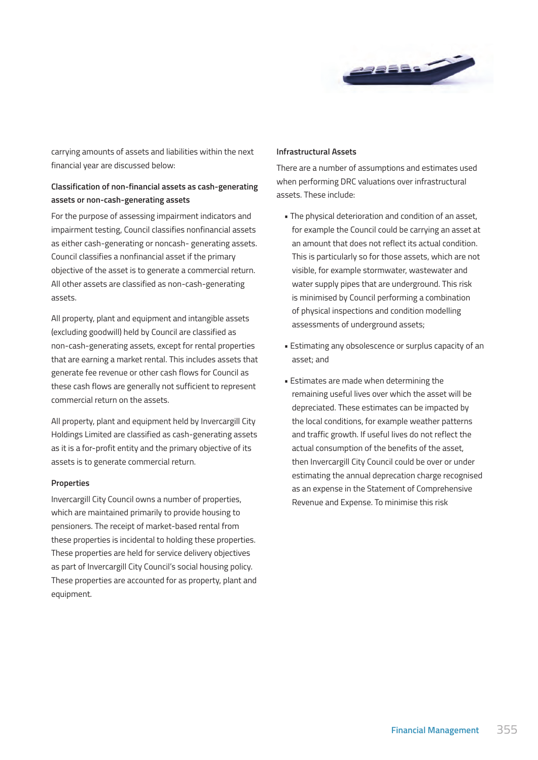

carrying amounts of assets and liabilities within the next financial year are discussed below:

#### **Classification of non-financial assets as cash-generating assets or non-cash-generating assets**

For the purpose of assessing impairment indicators and impairment testing, Council classifies nonfinancial assets as either cash-generating or noncash- generating assets. Council classifies a nonfinancial asset if the primary objective of the asset is to generate a commercial return. All other assets are classified as non-cash-generating assets.

All property, plant and equipment and intangible assets (excluding goodwill) held by Council are classified as non-cash-generating assets, except for rental properties that are earning a market rental. This includes assets that generate fee revenue or other cash flows for Council as these cash flows are generally not sufficient to represent commercial return on the assets.

All property, plant and equipment held by Invercargill City Holdings Limited are classified as cash-generating assets as it is a for-profit entity and the primary objective of its assets is to generate commercial return.

#### **Properties**

Invercargill City Council owns a number of properties, which are maintained primarily to provide housing to pensioners. The receipt of market-based rental from these properties is incidental to holding these properties. These properties are held for service delivery objectives as part of Invercargill City Council's social housing policy. These properties are accounted for as property, plant and equipment.

#### **Infrastructural Assets**

There are a number of assumptions and estimates used when performing DRC valuations over infrastructural assets. These include:

- The physical deterioration and condition of an asset, for example the Council could be carrying an asset at an amount that does not reflect its actual condition. This is particularly so for those assets, which are not visible, for example stormwater, wastewater and water supply pipes that are underground. This risk is minimised by Council performing a combination of physical inspections and condition modelling assessments of underground assets;
- Estimating any obsolescence or surplus capacity of an asset; and
- Estimates are made when determining the remaining useful lives over which the asset will be depreciated. These estimates can be impacted by the local conditions, for example weather patterns and traffic growth. If useful lives do not reflect the actual consumption of the benefits of the asset, then Invercargill City Council could be over or under estimating the annual deprecation charge recognised as an expense in the Statement of Comprehensive Revenue and Expense. To minimise this risk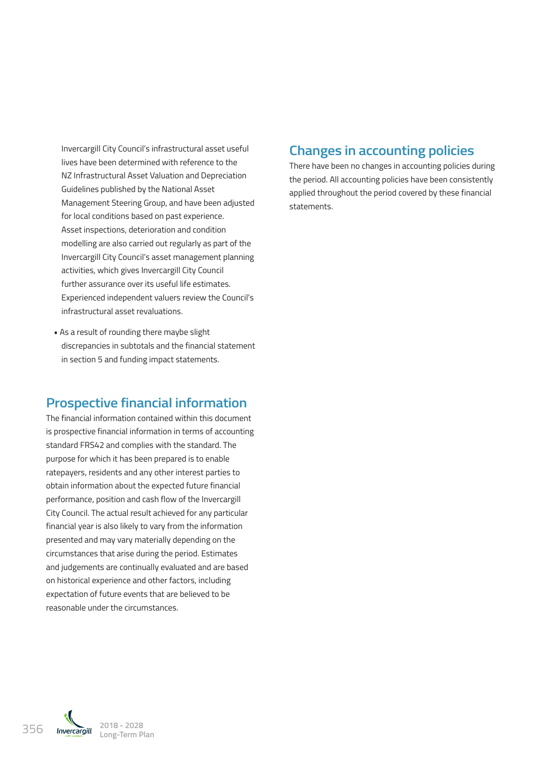Invercargill City Council's infrastructural asset useful lives have been determined with reference to the NZ Infrastructural Asset Valuation and Depreciation Guidelines published by the National Asset Management Steering Group, and have been adjusted for local conditions based on past experience. Asset inspections, deterioration and condition modelling are also carried out regularly as part of the Invercargill City Council's asset management planning activities, which gives Invercargill City Council further assurance over its useful life estimates. Experienced independent valuers review the Council's infrastructural asset revaluations.

• As a result of rounding there maybe slight discrepancies in subtotals and the financial statement in section 5 and funding impact statements.

# **Prospective financial information**

The financial information contained within this document is prospective financial information in terms of accounting standard FRS42 and complies with the standard. The purpose for which it has been prepared is to enable ratepayers, residents and any other interest parties to obtain information about the expected future financial performance, position and cash flow of the Invercargill City Council. The actual result achieved for any particular financial year is also likely to vary from the information presented and may vary materially depending on the circumstances that arise during the period. Estimates and judgements are continually evaluated and are based on historical experience and other factors, including expectation of future events that are believed to be reasonable under the circumstances.

# **Changes in accounting policies**

There have been no changes in accounting policies during the period. All accounting policies have been consistently applied throughout the period covered by these financial statements.

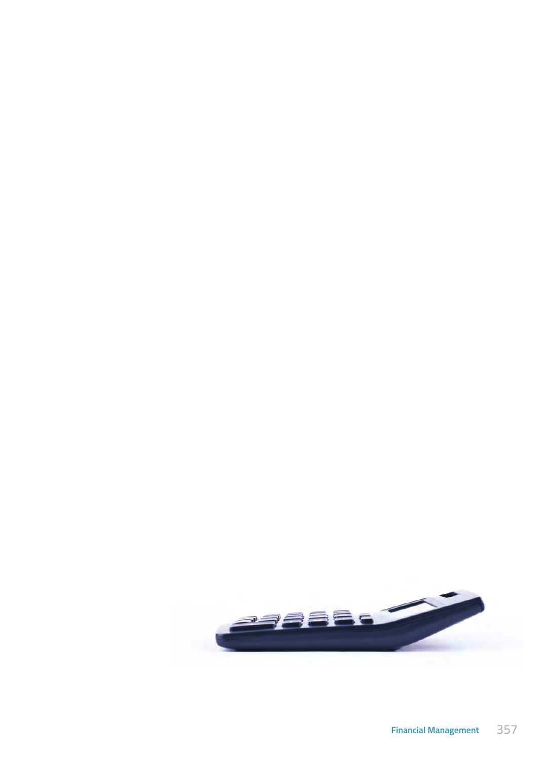